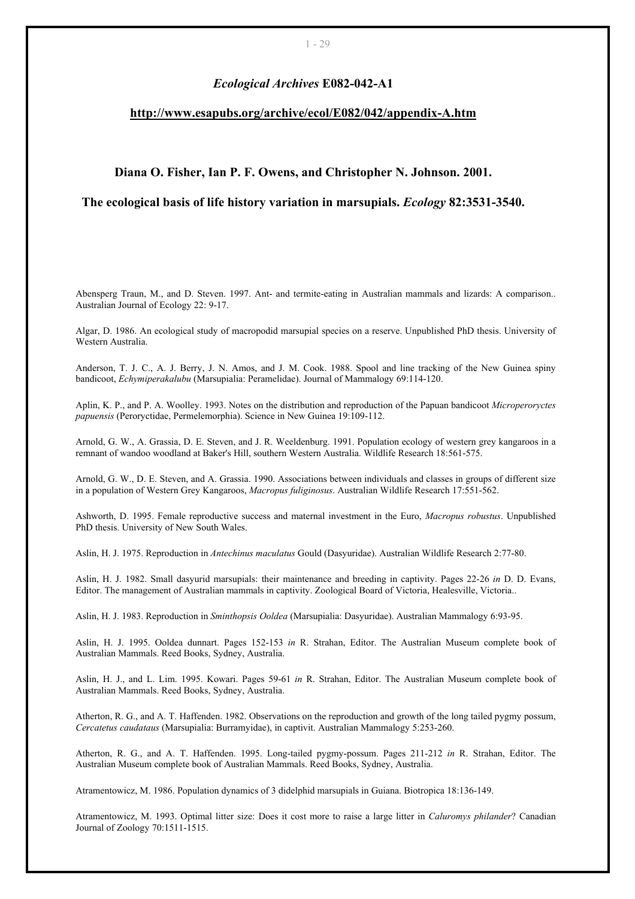## *Ecological Archives* **E082-042-A1**

## **<http://www.esapubs.org/archive/ecol/E082/042/appendix-A.htm>**

## **Diana O. Fisher, Ian P. F. Owens, and Christopher N. Johnson. 2001.**

## **The ecological basis of life history variation in marsupials.** *Ecology* **82:3531-3540.**

Abensperg Traun, M., and D. Steven. 1997. Ant- and termite-eating in Australian mammals and lizards: A comparison.. Australian Journal of Ecology 22: 9-17.

Algar, D. 1986. An ecological study of macropodid marsupial species on a reserve. Unpublished PhD thesis. University of Western Australia.

Anderson, T. J. C., A. J. Berry, J. N. Amos, and J. M. Cook. 1988. Spool and line tracking of the New Guinea spiny bandicoot, *Echymiperakalubu* (Marsupialia: Peramelidae). Journal of Mammalogy 69:114-120.

Aplin, K. P., and P. A. Woolley. 1993. Notes on the distribution and reproduction of the Papuan bandicoot *Microperoryctes papuensis* (Peroryctidae, Permelemorphia). Science in New Guinea 19:109-112.

Arnold, G. W., A. Grassia, D. E. Steven, and J. R. Weeldenburg. 1991. Population ecology of western grey kangaroos in a remnant of wandoo woodland at Baker's Hill, southern Western Australia. Wildlife Research 18:561-575.

Arnold, G. W., D. E. Steven, and A. Grassia. 1990. Associations between individuals and classes in groups of different size in a population of Western Grey Kangaroos, *Macropus fuliginosus*. Australian Wildlife Research 17:551-562.

Ashworth, D. 1995. Female reproductive success and maternal investment in the Euro, *Macropus robustus*. Unpublished PhD thesis. University of New South Wales.

Aslin, H. J. 1975. Reproduction in *Antechinus maculatus* Gould (Dasyuridae). Australian Wildlife Research 2:77-80.

Aslin, H. J. 1982. Small dasyurid marsupials: their maintenance and breeding in captivity. Pages 22-26 *in* D. D. Evans, Editor. The management of Australian mammals in captivity. Zoological Board of Victoria, Healesville, Victoria..

Aslin, H. J. 1983. Reproduction in *Sminthopsis Ooldea* (Marsupialia: Dasyuridae). Australian Mammalogy 6:93-95.

Aslin, H. J. 1995. Ooldea dunnart. Pages 152-153 *in* R. Strahan, Editor. The Australian Museum complete book of Australian Mammals. Reed Books, Sydney, Australia.

Aslin, H. J., and L. Lim. 1995. Kowari. Pages 59-61 *in* R. Strahan, Editor. The Australian Museum complete book of Australian Mammals. Reed Books, Sydney, Australia.

Atherton, R. G., and A. T. Haffenden. 1982. Observations on the reproduction and growth of the long tailed pygmy possum, *Cercatetus caudataus* (Marsupialia: Burramyidae), in captivit. Australian Mammalogy 5:253-260.

Atherton, R. G., and A. T. Haffenden. 1995. Long-tailed pygmy-possum. Pages 211-212 *in* R. Strahan, Editor. The Australian Museum complete book of Australian Mammals. Reed Books, Sydney, Australia.

Atramentowicz, M. 1986. Population dynamics of 3 didelphid marsupials in Guiana. Biotropica 18:136-149.

Atramentowicz, M. 1993. Optimal litter size: Does it cost more to raise a large litter in *Caluromys philander*? Canadian Journal of Zoology 70:1511-1515.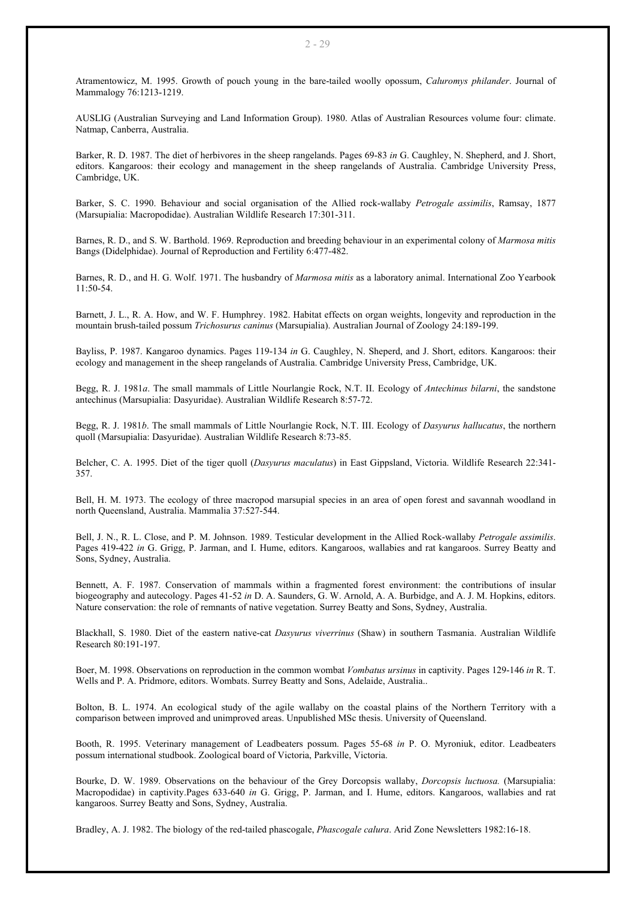Atramentowicz, M. 1995. Growth of pouch young in the bare-tailed woolly opossum, *Caluromys philander*. Journal of Mammalogy 76:1213-1219.

AUSLIG (Australian Surveying and Land Information Group). 1980. Atlas of Australian Resources volume four: climate. Natmap, Canberra, Australia.

Barker, R. D. 1987. The diet of herbivores in the sheep rangelands. Pages 69-83 *in* G. Caughley, N. Shepherd, and J. Short, editors. Kangaroos: their ecology and management in the sheep rangelands of Australia. Cambridge University Press, Cambridge, UK.

Barker, S. C. 1990. Behaviour and social organisation of the Allied rock-wallaby *Petrogale assimilis*, Ramsay, 1877 (Marsupialia: Macropodidae). Australian Wildlife Research 17:301-311.

Barnes, R. D., and S. W. Barthold. 1969. Reproduction and breeding behaviour in an experimental colony of *Marmosa mitis* Bangs (Didelphidae). Journal of Reproduction and Fertility 6:477-482.

Barnes, R. D., and H. G. Wolf. 1971. The husbandry of *Marmosa mitis* as a laboratory animal. International Zoo Yearbook  $11:50-54$ 

Barnett, J. L., R. A. How, and W. F. Humphrey. 1982. Habitat effects on organ weights, longevity and reproduction in the mountain brush-tailed possum *Trichosurus caninus* (Marsupialia). Australian Journal of Zoology 24:189-199.

Bayliss, P. 1987. Kangaroo dynamics. Pages 119-134 *in* G. Caughley, N. Sheperd, and J. Short, editors. Kangaroos: their ecology and management in the sheep rangelands of Australia. Cambridge University Press, Cambridge, UK.

Begg, R. J. 1981*a*. The small mammals of Little Nourlangie Rock, N.T. II. Ecology of *Antechinus bilarni*, the sandstone antechinus (Marsupialia: Dasyuridae). Australian Wildlife Research 8:57-72.

Begg, R. J. 1981*b*. The small mammals of Little Nourlangie Rock, N.T. III. Ecology of *Dasyurus hallucatus*, the northern quoll (Marsupialia: Dasyuridae). Australian Wildlife Research 8:73-85.

Belcher, C. A. 1995. Diet of the tiger quoll (*Dasyurus maculatus*) in East Gippsland, Victoria. Wildlife Research 22:341- 357.

Bell, H. M. 1973. The ecology of three macropod marsupial species in an area of open forest and savannah woodland in north Queensland, Australia. Mammalia 37:527-544.

Bell, J. N., R. L. Close, and P. M. Johnson. 1989. Testicular development in the Allied Rock-wallaby *Petrogale assimilis*. Pages 419-422 *in* G. Grigg, P. Jarman, and I. Hume, editors. Kangaroos, wallabies and rat kangaroos. Surrey Beatty and Sons, Sydney, Australia.

Bennett, A. F. 1987. Conservation of mammals within a fragmented forest environment: the contributions of insular biogeography and autecology. Pages 41-52 *in* D. A. Saunders, G. W. Arnold, A. A. Burbidge, and A. J. M. Hopkins, editors. Nature conservation: the role of remnants of native vegetation. Surrey Beatty and Sons, Sydney, Australia.

Blackhall, S. 1980. Diet of the eastern native-cat *Dasyurus viverrinus* (Shaw) in southern Tasmania. Australian Wildlife Research 80:191-197.

Boer, M. 1998. Observations on reproduction in the common wombat *Vombatus ursinus* in captivity. Pages 129-146 *in* R. T. Wells and P. A. Pridmore, editors. Wombats. Surrey Beatty and Sons, Adelaide, Australia..

Bolton, B. L. 1974. An ecological study of the agile wallaby on the coastal plains of the Northern Territory with a comparison between improved and unimproved areas. Unpublished MSc thesis. University of Queensland.

Booth, R. 1995. Veterinary management of Leadbeaters possum. Pages 55-68 *in* P. O. Myroniuk, editor. Leadbeaters possum international studbook. Zoological board of Victoria, Parkville, Victoria.

Bourke, D. W. 1989. Observations on the behaviour of the Grey Dorcopsis wallaby, *Dorcopsis luctuosa.* (Marsupialia: Macropodidae) in captivity.Pages 633-640 *in* G. Grigg, P. Jarman, and I. Hume, editors. Kangaroos, wallabies and rat kangaroos. Surrey Beatty and Sons, Sydney, Australia.

Bradley, A. J. 1982. The biology of the red-tailed phascogale, *Phascogale calura*. Arid Zone Newsletters 1982:16-18.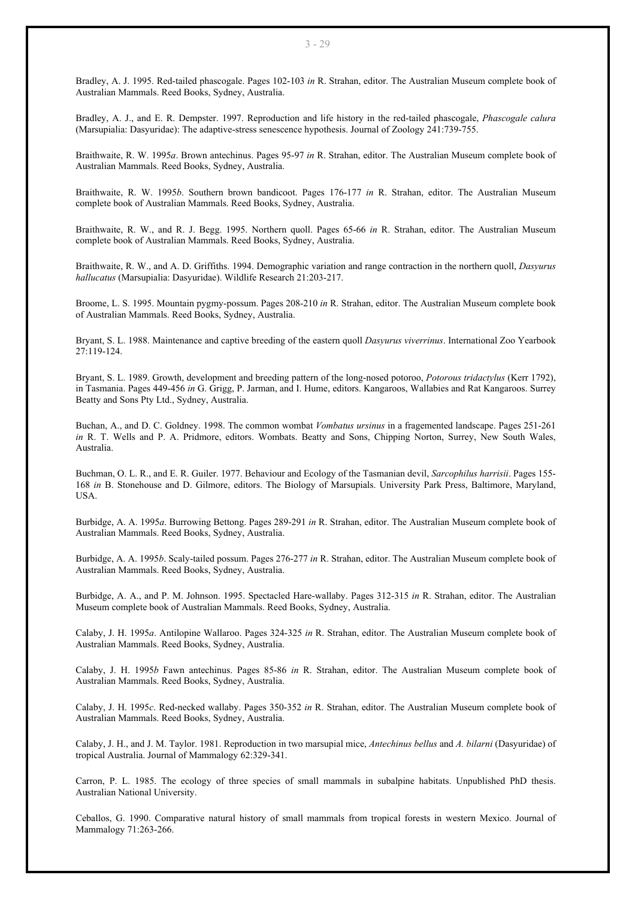Bradley, A. J. 1995. Red-tailed phascogale. Pages 102-103 *in* R. Strahan, editor. The Australian Museum complete book of Australian Mammals. Reed Books, Sydney, Australia.

Bradley, A. J., and E. R. Dempster. 1997. Reproduction and life history in the red-tailed phascogale, *Phascogale calura* (Marsupialia: Dasyuridae): The adaptive-stress senescence hypothesis. Journal of Zoology 241:739-755.

Braithwaite, R. W. 1995*a*. Brown antechinus. Pages 95-97 *in* R. Strahan, editor. The Australian Museum complete book of Australian Mammals. Reed Books, Sydney, Australia.

Braithwaite, R. W. 1995*b*. Southern brown bandicoot. Pages 176-177 *in* R. Strahan, editor. The Australian Museum complete book of Australian Mammals. Reed Books, Sydney, Australia.

Braithwaite, R. W., and R. J. Begg. 1995. Northern quoll. Pages 65-66 *in* R. Strahan, editor. The Australian Museum complete book of Australian Mammals. Reed Books, Sydney, Australia.

Braithwaite, R. W., and A. D. Griffiths. 1994. Demographic variation and range contraction in the northern quoll, *Dasyurus hallucatus* (Marsupialia: Dasyuridae). Wildlife Research 21:203-217.

Broome, L. S. 1995. Mountain pygmy-possum. Pages 208-210 *in* R. Strahan, editor. The Australian Museum complete book of Australian Mammals. Reed Books, Sydney, Australia.

Bryant, S. L. 1988. Maintenance and captive breeding of the eastern quoll *Dasyurus viverrinus*. International Zoo Yearbook 27:119-124.

Bryant, S. L. 1989. Growth, development and breeding pattern of the long-nosed potoroo, *Potorous tridactylus* (Kerr 1792), in Tasmania. Pages 449-456 *in* G. Grigg, P. Jarman, and I. Hume, editors. Kangaroos, Wallabies and Rat Kangaroos. Surrey Beatty and Sons Pty Ltd., Sydney, Australia.

Buchan, A., and D. C. Goldney. 1998. The common wombat *Vombatus ursinus* in a fragemented landscape. Pages 251-261 *in* R. T. Wells and P. A. Pridmore, editors. Wombats. Beatty and Sons, Chipping Norton, Surrey, New South Wales, Australia.

Buchman, O. L. R., and E. R. Guiler. 1977. Behaviour and Ecology of the Tasmanian devil, *Sarcophilus harrisii*. Pages 155- 168 *in* B. Stonehouse and D. Gilmore, editors. The Biology of Marsupials. University Park Press, Baltimore, Maryland, **USA** 

Burbidge, A. A. 1995*a*. Burrowing Bettong. Pages 289-291 *in* R. Strahan, editor. The Australian Museum complete book of Australian Mammals. Reed Books, Sydney, Australia.

Burbidge, A. A. 1995*b*. Scaly-tailed possum. Pages 276-277 *in* R. Strahan, editor. The Australian Museum complete book of Australian Mammals. Reed Books, Sydney, Australia.

Burbidge, A. A., and P. M. Johnson. 1995. Spectacled Hare-wallaby. Pages 312-315 *in* R. Strahan, editor. The Australian Museum complete book of Australian Mammals. Reed Books, Sydney, Australia.

Calaby, J. H. 1995*a*. Antilopine Wallaroo. Pages 324-325 *in* R. Strahan, editor. The Australian Museum complete book of Australian Mammals. Reed Books, Sydney, Australia.

Calaby, J. H. 1995*b* Fawn antechinus. Pages 85-86 *in* R. Strahan, editor. The Australian Museum complete book of Australian Mammals. Reed Books, Sydney, Australia.

Calaby, J. H. 1995*c*. Red-necked wallaby. Pages 350-352 *in* R. Strahan, editor. The Australian Museum complete book of Australian Mammals. Reed Books, Sydney, Australia.

Calaby, J. H., and J. M. Taylor. 1981. Reproduction in two marsupial mice, *Antechinus bellus* and *A. bilarni* (Dasyuridae) of tropical Australia. Journal of Mammalogy 62:329-341.

Carron, P. L. 1985. The ecology of three species of small mammals in subalpine habitats. Unpublished PhD thesis. Australian National University.

Ceballos, G. 1990. Comparative natural history of small mammals from tropical forests in western Mexico. Journal of Mammalogy 71:263-266.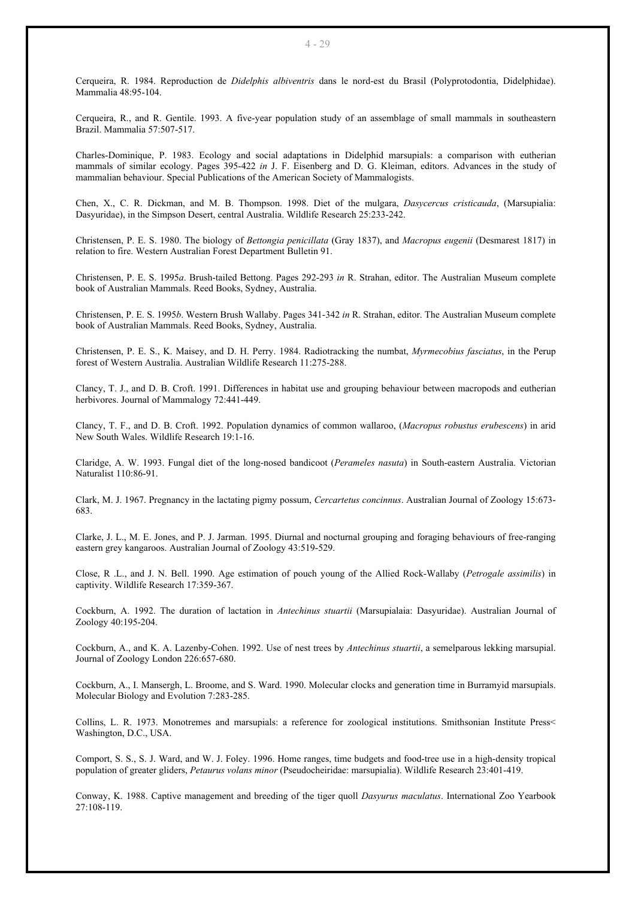Cerqueira, R. 1984. Reproduction de *Didelphis albiventris* dans le nord-est du Brasil (Polyprotodontia, Didelphidae). Mammalia 48:95-104.

Cerqueira, R., and R. Gentile. 1993. A five-year population study of an assemblage of small mammals in southeastern Brazil. Mammalia 57:507-517.

Charles-Dominique, P. 1983. Ecology and social adaptations in Didelphid marsupials: a comparison with eutherian mammals of similar ecology. Pages 395-422 *in* J. F. Eisenberg and D. G. Kleiman, editors. Advances in the study of mammalian behaviour. Special Publications of the American Society of Mammalogists.

Chen, X., C. R. Dickman, and M. B. Thompson. 1998. Diet of the mulgara, *Dasycercus cristicauda*, (Marsupialia: Dasyuridae), in the Simpson Desert, central Australia. Wildlife Research 25:233-242.

Christensen, P. E. S. 1980. The biology of *Bettongia penicillata* (Gray 1837), and *Macropus eugenii* (Desmarest 1817) in relation to fire. Western Australian Forest Department Bulletin 91.

Christensen, P. E. S. 1995*a*. Brush-tailed Bettong. Pages 292-293 *in* R. Strahan, editor. The Australian Museum complete book of Australian Mammals. Reed Books, Sydney, Australia.

Christensen, P. E. S. 1995*b*. Western Brush Wallaby. Pages 341-342 *in* R. Strahan, editor. The Australian Museum complete book of Australian Mammals. Reed Books, Sydney, Australia.

Christensen, P. E. S., K. Maisey, and D. H. Perry. 1984. Radiotracking the numbat, *Myrmecobius fasciatus*, in the Perup forest of Western Australia. Australian Wildlife Research 11:275-288.

Clancy, T. J., and D. B. Croft. 1991. Differences in habitat use and grouping behaviour between macropods and eutherian herbivores. Journal of Mammalogy 72:441-449.

Clancy, T. F., and D. B. Croft. 1992. Population dynamics of common wallaroo, (*Macropus robustus erubescens*) in arid New South Wales. Wildlife Research 19:1-16.

Claridge, A. W. 1993. Fungal diet of the long-nosed bandicoot (*Perameles nasuta*) in South-eastern Australia. Victorian Naturalist 110:86-91.

Clark, M. J. 1967. Pregnancy in the lactating pigmy possum, *Cercartetus concinnus*. Australian Journal of Zoology 15:673- 683.

Clarke, J. L., M. E. Jones, and P. J. Jarman. 1995. Diurnal and nocturnal grouping and foraging behaviours of free-ranging eastern grey kangaroos. Australian Journal of Zoology 43:519-529.

Close, R .L., and J. N. Bell. 1990. Age estimation of pouch young of the Allied Rock-Wallaby (*Petrogale assimilis*) in captivity. Wildlife Research 17:359-367.

Cockburn, A. 1992. The duration of lactation in *Antechinus stuartii* (Marsupialaia: Dasyuridae). Australian Journal of Zoology 40:195-204.

Cockburn, A., and K. A. Lazenby-Cohen. 1992. Use of nest trees by *Antechinus stuartii*, a semelparous lekking marsupial. Journal of Zoology London 226:657-680.

Cockburn, A., I. Mansergh, L. Broome, and S. Ward. 1990. Molecular clocks and generation time in Burramyid marsupials. Molecular Biology and Evolution 7:283-285.

Collins, L. R. 1973. Monotremes and marsupials: a reference for zoological institutions. Smithsonian Institute Press< Washington, D.C., USA.

Comport, S. S., S. J. Ward, and W. J. Foley. 1996. Home ranges, time budgets and food-tree use in a high-density tropical population of greater gliders, *Petaurus volans minor* (Pseudocheiridae: marsupialia). Wildlife Research 23:401-419.

Conway, K. 1988. Captive management and breeding of the tiger quoll *Dasyurus maculatus*. International Zoo Yearbook 27:108-119.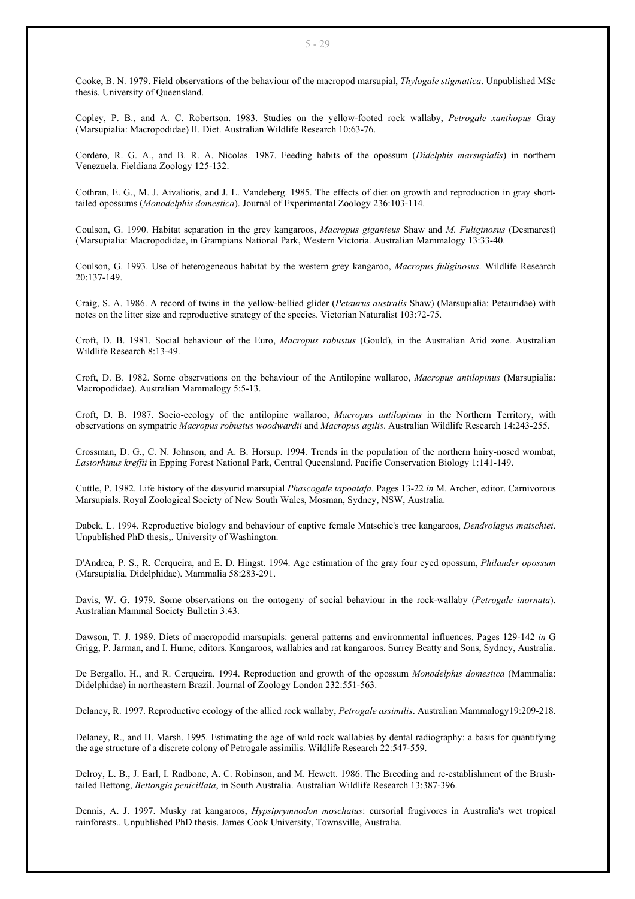Cooke, B. N. 1979. Field observations of the behaviour of the macropod marsupial, *Thylogale stigmatica*. Unpublished MSc thesis. University of Queensland.

Copley, P. B., and A. C. Robertson. 1983. Studies on the yellow-footed rock wallaby, *Petrogale xanthopus* Gray (Marsupialia: Macropodidae) II. Diet. Australian Wildlife Research 10:63-76.

Cordero, R. G. A., and B. R. A. Nicolas. 1987. Feeding habits of the opossum (*Didelphis marsupialis*) in northern Venezuela. Fieldiana Zoology 125-132.

Cothran, E. G., M. J. Aivaliotis, and J. L. Vandeberg. 1985. The effects of diet on growth and reproduction in gray shorttailed opossums (*Monodelphis domestica*). Journal of Experimental Zoology 236:103-114.

Coulson, G. 1990. Habitat separation in the grey kangaroos, *Macropus giganteus* Shaw and *M. Fuliginosus* (Desmarest) (Marsupialia: Macropodidae, in Grampians National Park, Western Victoria. Australian Mammalogy 13:33-40.

Coulson, G. 1993. Use of heterogeneous habitat by the western grey kangaroo, *Macropus fuliginosus*. Wildlife Research 20:137-149.

Craig, S. A. 1986. A record of twins in the yellow-bellied glider (*Petaurus australis* Shaw) (Marsupialia: Petauridae) with notes on the litter size and reproductive strategy of the species. Victorian Naturalist 103:72-75.

Croft, D. B. 1981. Social behaviour of the Euro, *Macropus robustus* (Gould), in the Australian Arid zone. Australian Wildlife Research 8:13-49.

Croft, D. B. 1982. Some observations on the behaviour of the Antilopine wallaroo, *Macropus antilopinus* (Marsupialia: Macropodidae). Australian Mammalogy 5:5-13.

Croft, D. B. 1987. Socio-ecology of the antilopine wallaroo, *Macropus antilopinus* in the Northern Territory, with observations on sympatric *Macropus robustus woodwardii* and *Macropus agilis*. Australian Wildlife Research 14:243-255.

Crossman, D. G., C. N. Johnson, and A. B. Horsup. 1994. Trends in the population of the northern hairy-nosed wombat, *Lasiorhinus kreffti* in Epping Forest National Park, Central Queensland. Pacific Conservation Biology 1:141-149.

Cuttle, P. 1982. Life history of the dasyurid marsupial *Phascogale tapoatafa*. Pages 13-22 *in* M. Archer, editor. Carnivorous Marsupials. Royal Zoological Society of New South Wales, Mosman, Sydney, NSW, Australia.

Dabek, L. 1994. Reproductive biology and behaviour of captive female Matschie's tree kangaroos, *Dendrolagus matschiei*. Unpublished PhD thesis,. University of Washington.

D'Andrea, P. S., R. Cerqueira, and E. D. Hingst. 1994. Age estimation of the gray four eyed opossum, *Philander opossum* (Marsupialia, Didelphidae). Mammalia 58:283-291.

Davis, W. G. 1979. Some observations on the ontogeny of social behaviour in the rock-wallaby (*Petrogale inornata*). Australian Mammal Society Bulletin 3:43.

Dawson, T. J. 1989. Diets of macropodid marsupials: general patterns and environmental influences. Pages 129-142 *in* G Grigg, P. Jarman, and I. Hume, editors. Kangaroos, wallabies and rat kangaroos. Surrey Beatty and Sons, Sydney, Australia.

De Bergallo, H., and R. Cerqueira. 1994. Reproduction and growth of the opossum *Monodelphis domestica* (Mammalia: Didelphidae) in northeastern Brazil. Journal of Zoology London 232:551-563.

Delaney, R. 1997. Reproductive ecology of the allied rock wallaby, *Petrogale assimilis*. Australian Mammalogy19:209-218.

Delaney, R., and H. Marsh. 1995. Estimating the age of wild rock wallabies by dental radiography: a basis for quantifying the age structure of a discrete colony of Petrogale assimilis. Wildlife Research 22:547-559.

Delroy, L. B., J. Earl, I. Radbone, A. C. Robinson, and M. Hewett. 1986. The Breeding and re-establishment of the Brushtailed Bettong, *Bettongia penicillata*, in South Australia. Australian Wildlife Research 13:387-396.

Dennis, A. J. 1997. Musky rat kangaroos, *Hypsiprymnodon moschatus*: cursorial frugivores in Australia's wet tropical rainforests.. Unpublished PhD thesis. James Cook University, Townsville, Australia.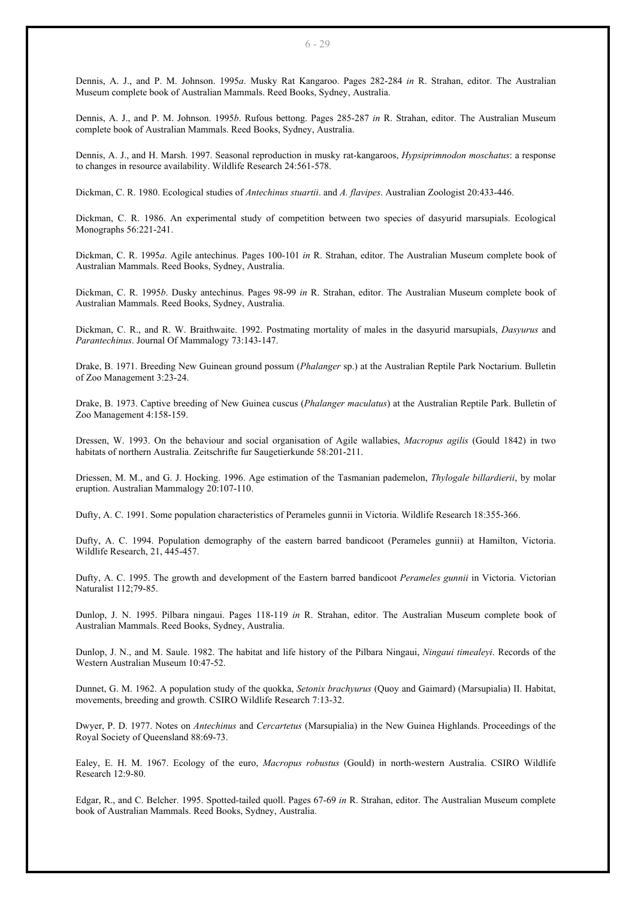Dennis, A. J., and P. M. Johnson. 1995*a*. Musky Rat Kangaroo. Pages 282-284 *in* R. Strahan, editor. The Australian Museum complete book of Australian Mammals. Reed Books, Sydney, Australia.

Dennis, A. J., and P. M. Johnson. 1995*b*. Rufous bettong. Pages 285-287 *in* R. Strahan, editor. The Australian Museum complete book of Australian Mammals. Reed Books, Sydney, Australia.

Dennis, A. J., and H. Marsh. 1997. Seasonal reproduction in musky rat-kangaroos, *Hypsiprimnodon moschatus*: a response to changes in resource availability. Wildlife Research 24:561-578.

Dickman, C. R. 1980. Ecological studies of *Antechinus stuartii*. and *A. flavipes*. Australian Zoologist 20:433-446.

Dickman, C. R. 1986. An experimental study of competition between two species of dasyurid marsupials. Ecological Monographs 56:221-241.

Dickman, C. R. 1995*a*. Agile antechinus. Pages 100-101 *in* R. Strahan, editor. The Australian Museum complete book of Australian Mammals. Reed Books, Sydney, Australia.

Dickman, C. R. 1995*b*. Dusky antechinus. Pages 98-99 *in* R. Strahan, editor. The Australian Museum complete book of Australian Mammals. Reed Books, Sydney, Australia.

Dickman, C. R., and R. W. Braithwaite. 1992. Postmating mortality of males in the dasyurid marsupials, *Dasyurus* and *Parantechinus*. Journal Of Mammalogy 73:143-147.

Drake, B. 1971. Breeding New Guinean ground possum (*Phalanger* sp.) at the Australian Reptile Park Noctarium. Bulletin of Zoo Management 3:23-24.

Drake, B. 1973. Captive breeding of New Guinea cuscus (*Phalanger maculatus*) at the Australian Reptile Park. Bulletin of Zoo Management 4:158-159.

Dressen, W. 1993. On the behaviour and social organisation of Agile wallabies, *Macropus agilis* (Gould 1842) in two habitats of northern Australia. Zeitschrifte fur Saugetierkunde 58:201-211.

Driessen, M. M., and G. J. Hocking. 1996. Age estimation of the Tasmanian pademelon, *Thylogale billardierii*, by molar eruption. Australian Mammalogy 20:107-110.

Dufty, A. C. 1991. Some population characteristics of Perameles gunnii in Victoria. Wildlife Research 18:355-366.

Dufty, A. C. 1994. Population demography of the eastern barred bandicoot (Perameles gunnii) at Hamilton, Victoria. Wildlife Research, 21, 445-457.

Dufty, A. C. 1995. The growth and development of the Eastern barred bandicoot *Perameles gunnii* in Victoria. Victorian Naturalist 112;79-85.

Dunlop, J. N. 1995. Pilbara ningaui. Pages 118-119 *in* R. Strahan, editor. The Australian Museum complete book of Australian Mammals. Reed Books, Sydney, Australia.

Dunlop, J. N., and M. Saule. 1982. The habitat and life history of the Pilbara Ningaui, *Ningaui timealeyi*. Records of the Western Australian Museum 10:47-52.

Dunnet, G. M. 1962. A population study of the quokka, *Setonix brachyurus* (Quoy and Gaimard) (Marsupialia) II. Habitat, movements, breeding and growth. CSIRO Wildlife Research 7:13-32.

Dwyer, P. D. 1977. Notes on *Antechinus* and *Cercartetus* (Marsupialia) in the New Guinea Highlands. Proceedings of the Royal Society of Queensland 88:69-73.

Ealey, E. H. M. 1967. Ecology of the euro, *Macropus robustus* (Gould) in north-western Australia. CSIRO Wildlife Research 12:9-80.

Edgar, R., and C. Belcher. 1995. Spotted-tailed quoll. Pages 67-69 *in* R. Strahan, editor. The Australian Museum complete book of Australian Mammals. Reed Books, Sydney, Australia.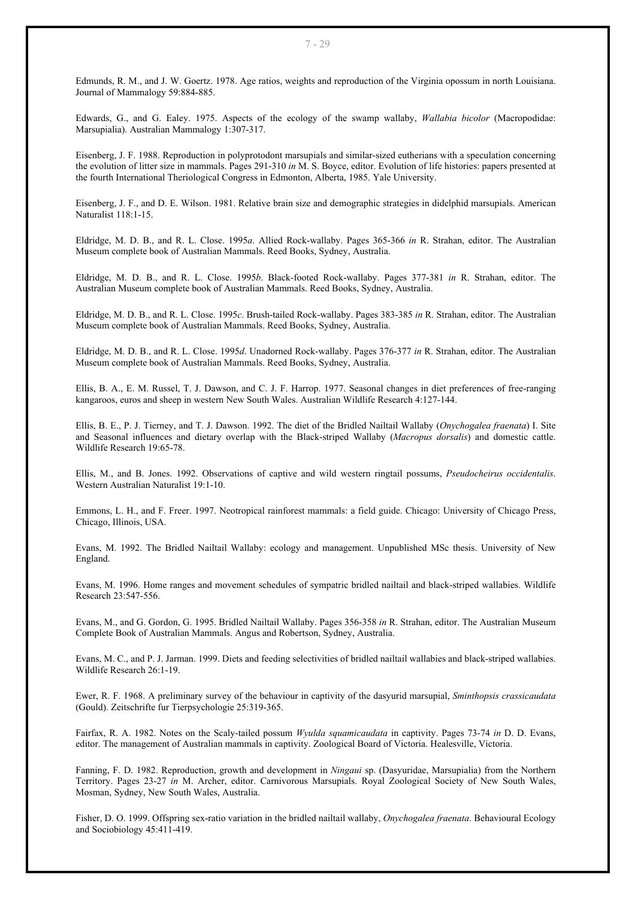Edmunds, R. M., and J. W. Goertz. 1978. Age ratios, weights and reproduction of the Virginia opossum in north Louisiana. Journal of Mammalogy 59:884-885.

Edwards, G., and G. Ealey. 1975. Aspects of the ecology of the swamp wallaby, *Wallabia bicolor* (Macropodidae: Marsupialia). Australian Mammalogy 1:307-317.

Eisenberg, J. F. 1988. Reproduction in polyprotodont marsupials and similar-sized eutherians with a speculation concerning the evolution of litter size in mammals. Pages 291-310 *in* M. S. Boyce, editor. Evolution of life histories: papers presented at the fourth International Theriological Congress in Edmonton, Alberta, 1985. Yale University.

Eisenberg, J. F., and D. E. Wilson. 1981. Relative brain size and demographic strategies in didelphid marsupials. American Naturalist 118:1-15.

Eldridge, M. D. B., and R. L. Close. 1995*a*. Allied Rock-wallaby. Pages 365-366 *in* R. Strahan, editor. The Australian Museum complete book of Australian Mammals. Reed Books, Sydney, Australia.

Eldridge, M. D. B., and R. L. Close. 1995*b*. Black-footed Rock-wallaby. Pages 377-381 *in* R. Strahan, editor. The Australian Museum complete book of Australian Mammals. Reed Books, Sydney, Australia.

Eldridge, M. D. B., and R. L. Close. 1995*c*. Brush-tailed Rock-wallaby. Pages 383-385 *in* R. Strahan, editor. The Australian Museum complete book of Australian Mammals. Reed Books, Sydney, Australia.

Eldridge, M. D. B., and R. L. Close. 1995*d*. Unadorned Rock-wallaby. Pages 376-377 *in* R. Strahan, editor. The Australian Museum complete book of Australian Mammals. Reed Books, Sydney, Australia.

Ellis, B. A., E. M. Russel, T. J. Dawson, and C. J. F. Harrop. 1977. Seasonal changes in diet preferences of free-ranging kangaroos, euros and sheep in western New South Wales. Australian Wildlife Research 4:127-144.

Ellis, B. E., P. J. Tierney, and T. J. Dawson. 1992. The diet of the Bridled Nailtail Wallaby (*Onychogalea fraenata*) I. Site and Seasonal influences and dietary overlap with the Black-striped Wallaby (*Macropus dorsalis*) and domestic cattle. Wildlife Research 19:65-78.

Ellis, M., and B. Jones. 1992. Observations of captive and wild western ringtail possums, *Pseudocheirus occidentalis*. Western Australian Naturalist 19:1-10.

Emmons, L. H., and F. Freer. 1997. Neotropical rainforest mammals: a field guide. Chicago: University of Chicago Press, Chicago, Illinois, USA.

Evans, M. 1992. The Bridled Nailtail Wallaby: ecology and management. Unpublished MSc thesis. University of New England.

Evans, M. 1996. Home ranges and movement schedules of sympatric bridled nailtail and black-striped wallabies. Wildlife Research 23:547-556.

Evans, M., and G. Gordon, G. 1995. Bridled Nailtail Wallaby. Pages 356-358 *in* R. Strahan, editor. The Australian Museum Complete Book of Australian Mammals. Angus and Robertson, Sydney, Australia.

Evans, M. C., and P. J. Jarman. 1999. Diets and feeding selectivities of bridled nailtail wallabies and black-striped wallabies. Wildlife Research 26:1-19.

Ewer, R. F. 1968. A preliminary survey of the behaviour in captivity of the dasyurid marsupial, *Sminthopsis crassicaudata* (Gould). Zeitschrifte fur Tierpsychologie 25:319-365.

Fairfax, R. A. 1982. Notes on the Scaly-tailed possum *Wyulda squamicaudata* in captivity. Pages 73-74 *in* D. D. Evans, editor. The management of Australian mammals in captivity. Zoological Board of Victoria. Healesville, Victoria.

Fanning, F. D. 1982. Reproduction, growth and development in *Ningaui* sp. (Dasyuridae, Marsupialia) from the Northern Territory. Pages 23-27 *in* M. Archer, editor. Carnivorous Marsupials. Royal Zoological Society of New South Wales, Mosman, Sydney, New South Wales, Australia.

Fisher, D. O. 1999. Offspring sex-ratio variation in the bridled nailtail wallaby, *Onychogalea fraenata*. Behavioural Ecology and Sociobiology 45:411-419.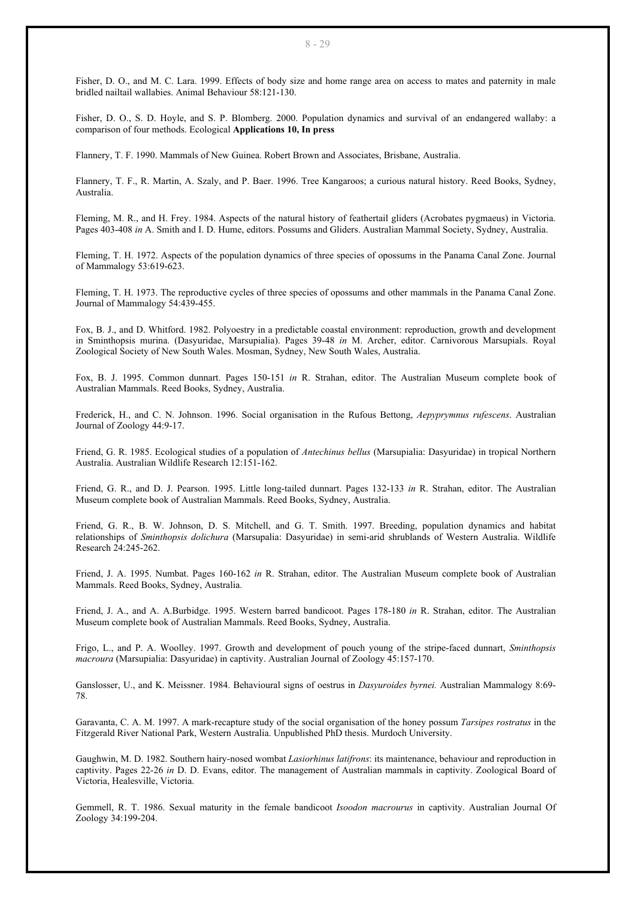Fisher, D. O., and M. C. Lara. 1999. Effects of body size and home range area on access to mates and paternity in male bridled nailtail wallabies. Animal Behaviour 58:121-130.

Fisher, D. O., S. D. Hoyle, and S. P. Blomberg. 2000. Population dynamics and survival of an endangered wallaby: a comparison of four methods. Ecological **Applications 10, In press**

Flannery, T. F. 1990. Mammals of New Guinea. Robert Brown and Associates, Brisbane, Australia.

Flannery, T. F., R. Martin, A. Szaly, and P. Baer. 1996. Tree Kangaroos; a curious natural history. Reed Books, Sydney, Australia.

Fleming, M. R., and H. Frey. 1984. Aspects of the natural history of feathertail gliders (Acrobates pygmaeus) in Victoria. Pages 403-408 *in* A. Smith and I. D. Hume, editors. Possums and Gliders. Australian Mammal Society, Sydney, Australia.

Fleming, T. H. 1972. Aspects of the population dynamics of three species of opossums in the Panama Canal Zone. Journal of Mammalogy 53:619-623.

Fleming, T. H. 1973. The reproductive cycles of three species of opossums and other mammals in the Panama Canal Zone. Journal of Mammalogy 54:439-455.

Fox, B. J., and D. Whitford. 1982. Polyoestry in a predictable coastal environment: reproduction, growth and development in Sminthopsis murina. (Dasyuridae, Marsupialia). Pages 39-48 *in* M. Archer, editor. Carnivorous Marsupials. Royal Zoological Society of New South Wales. Mosman, Sydney, New South Wales, Australia.

Fox, B. J. 1995. Common dunnart. Pages 150-151 *in* R. Strahan, editor. The Australian Museum complete book of Australian Mammals. Reed Books, Sydney, Australia.

Frederick, H., and C. N. Johnson. 1996. Social organisation in the Rufous Bettong, *Aepyprymnus rufescens*. Australian Journal of Zoology 44:9-17.

Friend, G. R. 1985. Ecological studies of a population of *Antechinus bellus* (Marsupialia: Dasyuridae) in tropical Northern Australia. Australian Wildlife Research 12:151-162.

Friend, G. R., and D. J. Pearson. 1995. Little long-tailed dunnart. Pages 132-133 *in* R. Strahan, editor. The Australian Museum complete book of Australian Mammals. Reed Books, Sydney, Australia.

Friend, G. R., B. W. Johnson, D. S. Mitchell, and G. T. Smith. 1997. Breeding, population dynamics and habitat relationships of *Sminthopsis dolichura* (Marsupalia: Dasyuridae) in semi-arid shrublands of Western Australia. Wildlife Research 24:245-262.

Friend, J. A. 1995. Numbat. Pages 160-162 *in* R. Strahan, editor. The Australian Museum complete book of Australian Mammals. Reed Books, Sydney, Australia.

Friend, J. A., and A. A.Burbidge. 1995. Western barred bandicoot. Pages 178-180 *in* R. Strahan, editor. The Australian Museum complete book of Australian Mammals. Reed Books, Sydney, Australia.

Frigo, L., and P. A. Woolley. 1997. Growth and development of pouch young of the stripe-faced dunnart, *Sminthopsis macroura* (Marsupialia: Dasyuridae) in captivity. Australian Journal of Zoology 45:157-170.

Ganslosser, U., and K. Meissner. 1984. Behavioural signs of oestrus in *Dasyuroides byrnei.* Australian Mammalogy 8:69- 78.

Garavanta, C. A. M. 1997. A mark-recapture study of the social organisation of the honey possum *Tarsipes rostratus* in the Fitzgerald River National Park, Western Australia. Unpublished PhD thesis. Murdoch University.

Gaughwin, M. D. 1982. Southern hairy-nosed wombat *Lasiorhinus latifrons*: its maintenance, behaviour and reproduction in captivity. Pages 22-26 *in* D. D. Evans, editor. The management of Australian mammals in captivity. Zoological Board of Victoria, Healesville, Victoria.

Gemmell, R. T. 1986. Sexual maturity in the female bandicoot *Isoodon macrourus* in captivity. Australian Journal Of Zoology 34:199-204.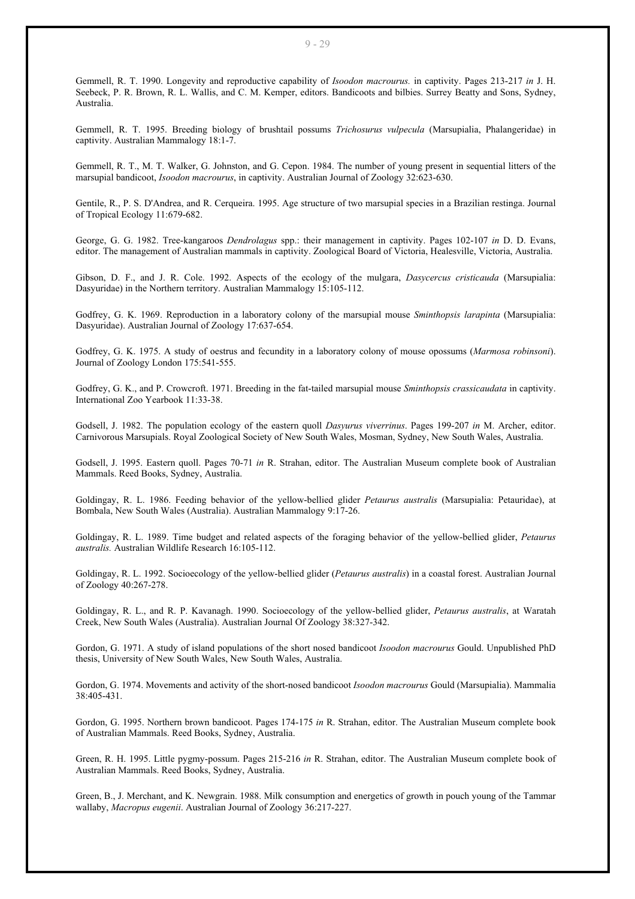Gemmell, R. T. 1990. Longevity and reproductive capability of *Isoodon macrourus.* in captivity. Pages 213-217 *in* J. H. Seebeck, P. R. Brown, R. L. Wallis, and C. M. Kemper, editors. Bandicoots and bilbies. Surrey Beatty and Sons, Sydney, Australia.

Gemmell, R. T. 1995. Breeding biology of brushtail possums *Trichosurus vulpecula* (Marsupialia, Phalangeridae) in captivity. Australian Mammalogy 18:1-7.

Gemmell, R. T., M. T. Walker, G. Johnston, and G. Cepon. 1984. The number of young present in sequential litters of the marsupial bandicoot, *Isoodon macrourus*, in captivity. Australian Journal of Zoology 32:623-630.

Gentile, R., P. S. D'Andrea, and R. Cerqueira. 1995. Age structure of two marsupial species in a Brazilian restinga. Journal of Tropical Ecology 11:679-682.

George, G. G. 1982. Tree-kangaroos *Dendrolagus* spp.: their management in captivity. Pages 102-107 *in* D. D. Evans, editor. The management of Australian mammals in captivity. Zoological Board of Victoria, Healesville, Victoria, Australia.

Gibson, D. F., and J. R. Cole. 1992. Aspects of the ecology of the mulgara, *Dasycercus cristicauda* (Marsupialia: Dasyuridae) in the Northern territory. Australian Mammalogy 15:105-112.

Godfrey, G. K. 1969. Reproduction in a laboratory colony of the marsupial mouse *Sminthopsis larapinta* (Marsupialia: Dasyuridae). Australian Journal of Zoology 17:637-654.

Godfrey, G. K. 1975. A study of oestrus and fecundity in a laboratory colony of mouse opossums (*Marmosa robinsoni*). Journal of Zoology London 175:541-555.

Godfrey, G. K., and P. Crowcroft. 1971. Breeding in the fat-tailed marsupial mouse *Sminthopsis crassicaudata* in captivity. International Zoo Yearbook 11:33-38.

Godsell, J. 1982. The population ecology of the eastern quoll *Dasyurus viverrinus*. Pages 199-207 *in* M. Archer, editor. Carnivorous Marsupials. Royal Zoological Society of New South Wales, Mosman, Sydney, New South Wales, Australia.

Godsell, J. 1995. Eastern quoll. Pages 70-71 *in* R. Strahan, editor. The Australian Museum complete book of Australian Mammals. Reed Books, Sydney, Australia.

Goldingay, R. L. 1986. Feeding behavior of the yellow-bellied glider *Petaurus australis* (Marsupialia: Petauridae), at Bombala, New South Wales (Australia). Australian Mammalogy 9:17-26.

Goldingay, R. L. 1989. Time budget and related aspects of the foraging behavior of the yellow-bellied glider, *Petaurus australis.* Australian Wildlife Research 16:105-112.

Goldingay, R. L. 1992. Socioecology of the yellow-bellied glider (*Petaurus australis*) in a coastal forest. Australian Journal of Zoology 40:267-278.

Goldingay, R. L., and R. P. Kavanagh. 1990. Socioecology of the yellow-bellied glider, *Petaurus australis*, at Waratah Creek, New South Wales (Australia). Australian Journal Of Zoology 38:327-342.

Gordon, G. 1971. A study of island populations of the short nosed bandicoot *Isoodon macrourus* Gould. Unpublished PhD thesis, University of New South Wales, New South Wales, Australia.

Gordon, G. 1974. Movements and activity of the short-nosed bandicoot *Isoodon macrourus* Gould (Marsupialia). Mammalia 38:405-431.

Gordon, G. 1995. Northern brown bandicoot. Pages 174-175 *in* R. Strahan, editor. The Australian Museum complete book of Australian Mammals. Reed Books, Sydney, Australia.

Green, R. H. 1995. Little pygmy-possum. Pages 215-216 *in* R. Strahan, editor. The Australian Museum complete book of Australian Mammals. Reed Books, Sydney, Australia.

Green, B., J. Merchant, and K. Newgrain. 1988. Milk consumption and energetics of growth in pouch young of the Tammar wallaby, *Macropus eugenii*. Australian Journal of Zoology 36:217-227.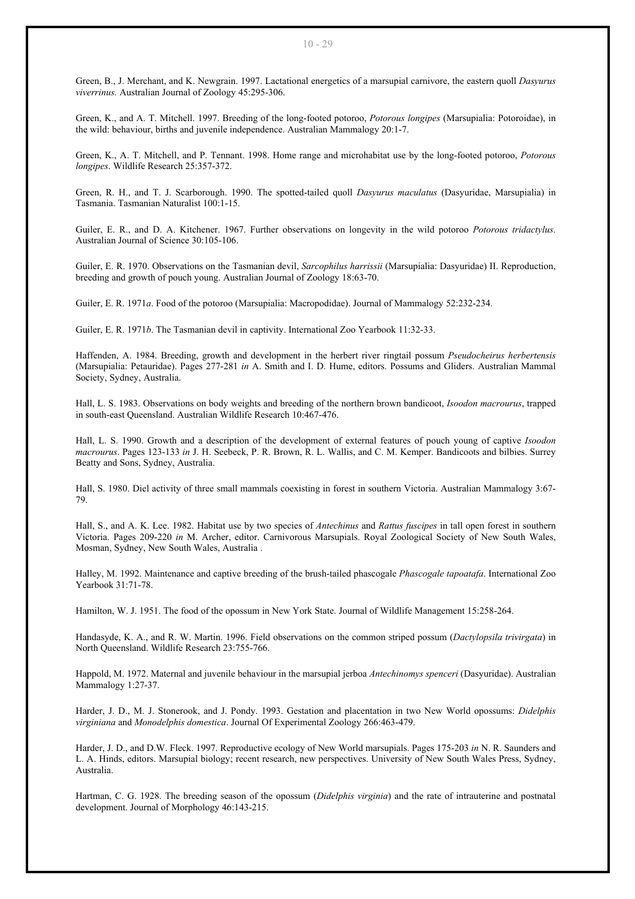Green, B., J. Merchant, and K. Newgrain. 1997. Lactational energetics of a marsupial carnivore, the eastern quoll *Dasyurus viverrinus.* Australian Journal of Zoology 45:295-306.

Green, K., and A. T. Mitchell. 1997. Breeding of the long-footed potoroo, *Potorous longipes* (Marsupialia: Potoroidae), in the wild: behaviour, births and juvenile independence. Australian Mammalogy 20:1-7.

Green, K., A. T. Mitchell, and P. Tennant. 1998. Home range and microhabitat use by the long-footed potoroo, *Potorous longipes*. Wildlife Research 25:357-372.

Green, R. H., and T. J. Scarborough. 1990. The spotted-tailed quoll *Dasyurus maculatus* (Dasyuridae, Marsupialia) in Tasmania. Tasmanian Naturalist 100:1-15.

Guiler, E. R., and D. A. Kitchener. 1967. Further observations on longevity in the wild potoroo *Potorous tridactylus*. Australian Journal of Science 30:105-106.

Guiler, E. R. 1970. Observations on the Tasmanian devil, *Sarcophilus harrissii* (Marsupialia: Dasyuridae) II. Reproduction, breeding and growth of pouch young. Australian Journal of Zoology 18:63-70.

Guiler, E. R. 1971*a*. Food of the potoroo (Marsupialia: Macropodidae). Journal of Mammalogy 52:232-234.

Guiler, E. R. 1971*b*. The Tasmanian devil in captivity. International Zoo Yearbook 11:32-33.

Haffenden, A. 1984. Breeding, growth and development in the herbert river ringtail possum *Pseudocheirus herbertensis* (Marsupialia: Petauridae). Pages 277-281 *in* A. Smith and I. D. Hume, editors. Possums and Gliders. Australian Mammal Society, Sydney, Australia.

Hall, L. S. 1983. Observations on body weights and breeding of the northern brown bandicoot, *Isoodon macrourus*, trapped in south-east Queensland. Australian Wildlife Research 10:467-476.

Hall, L. S. 1990. Growth and a description of the development of external features of pouch young of captive *Isoodon macrourus*. Pages 123-133 *in* J. H. Seebeck, P. R. Brown, R. L. Wallis, and C. M. Kemper. Bandicoots and bilbies. Surrey Beatty and Sons, Sydney, Australia.

Hall, S. 1980. Diel activity of three small mammals coexisting in forest in southern Victoria. Australian Mammalogy 3:67- 79.

Hall, S., and A. K. Lee. 1982. Habitat use by two species of *Antechinus* and *Rattus fuscipes* in tall open forest in southern Victoria. Pages 209-220 *in* M. Archer, editor. Carnivorous Marsupials. Royal Zoological Society of New South Wales, Mosman, Sydney, New South Wales, Australia .

Halley, M. 1992. Maintenance and captive breeding of the brush-tailed phascogale *Phascogale tapoatafa*. International Zoo Yearbook 31:71-78.

Hamilton, W. J. 1951. The food of the opossum in New York State. Journal of Wildlife Management 15:258-264.

Handasyde, K. A., and R. W. Martin. 1996. Field observations on the common striped possum (*Dactylopsila trivirgata*) in North Queensland. Wildlife Research 23:755-766.

Happold, M. 1972. Maternal and juvenile behaviour in the marsupial jerboa *Antechinomys spenceri* (Dasyuridae). Australian Mammalogy 1:27-37.

Harder, J. D., M. J. Stonerook, and J. Pondy. 1993. Gestation and placentation in two New World opossums: *Didelphis virginiana* and *Monodelphis domestica*. Journal Of Experimental Zoology 266:463-479.

Harder, J. D., and D.W. Fleck. 1997. Reproductive ecology of New World marsupials. Pages 175-203 *in* N. R. Saunders and L. A. Hinds, editors. Marsupial biology; recent research, new perspectives. University of New South Wales Press, Sydney, Australia.

Hartman, C. G. 1928. The breeding season of the opossum (*Didelphis virginia*) and the rate of intrauterine and postnatal development. Journal of Morphology 46:143-215.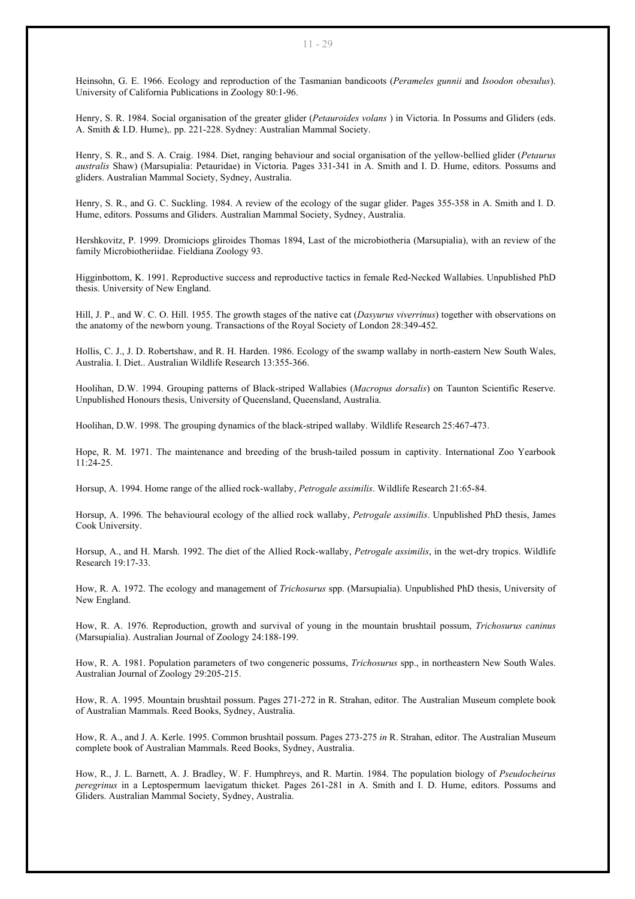Heinsohn, G. E. 1966. Ecology and reproduction of the Tasmanian bandicoots (*Perameles gunnii* and *Isoodon obesulus*). University of California Publications in Zoology 80:1-96.

Henry, S. R. 1984. Social organisation of the greater glider (*Petauroides volans* ) in Victoria. In Possums and Gliders (eds. A. Smith & I.D. Hume),. pp. 221-228. Sydney: Australian Mammal Society.

Henry, S. R., and S. A. Craig. 1984. Diet, ranging behaviour and social organisation of the yellow-bellied glider (*Petaurus australis* Shaw) (Marsupialia: Petauridae) in Victoria. Pages 331-341 in A. Smith and I. D. Hume, editors. Possums and gliders. Australian Mammal Society, Sydney, Australia.

Henry, S. R., and G. C. Suckling. 1984. A review of the ecology of the sugar glider. Pages 355-358 in A. Smith and I. D. Hume, editors. Possums and Gliders. Australian Mammal Society, Sydney, Australia.

Hershkovitz, P. 1999. Dromiciops gliroides Thomas 1894, Last of the microbiotheria (Marsupialia), with an review of the family Microbiotheriidae. Fieldiana Zoology 93.

Higginbottom, K. 1991. Reproductive success and reproductive tactics in female Red-Necked Wallabies. Unpublished PhD thesis. University of New England.

Hill, J. P., and W. C. O. Hill. 1955. The growth stages of the native cat (*Dasyurus viverrinus*) together with observations on the anatomy of the newborn young. Transactions of the Royal Society of London 28:349-452.

Hollis, C. J., J. D. Robertshaw, and R. H. Harden. 1986. Ecology of the swamp wallaby in north-eastern New South Wales, Australia. I. Diet.. Australian Wildlife Research 13:355-366.

Hoolihan, D.W. 1994. Grouping patterns of Black-striped Wallabies (*Macropus dorsalis*) on Taunton Scientific Reserve. Unpublished Honours thesis, University of Queensland, Queensland, Australia.

Hoolihan, D.W. 1998. The grouping dynamics of the black-striped wallaby. Wildlife Research 25:467-473.

Hope, R. M. 1971. The maintenance and breeding of the brush-tailed possum in captivity. International Zoo Yearbook 11:24-25.

Horsup, A. 1994. Home range of the allied rock-wallaby, *Petrogale assimilis*. Wildlife Research 21:65-84.

Horsup, A. 1996. The behavioural ecology of the allied rock wallaby, *Petrogale assimilis*. Unpublished PhD thesis, James Cook University.

Horsup, A., and H. Marsh. 1992. The diet of the Allied Rock-wallaby, *Petrogale assimilis*, in the wet-dry tropics. Wildlife Research 19:17-33.

How, R. A. 1972. The ecology and management of *Trichosurus* spp. (Marsupialia). Unpublished PhD thesis, University of New England.

How, R. A. 1976. Reproduction, growth and survival of young in the mountain brushtail possum, *Trichosurus caninus* (Marsupialia). Australian Journal of Zoology 24:188-199.

How, R. A. 1981. Population parameters of two congeneric possums, *Trichosurus* spp., in northeastern New South Wales. Australian Journal of Zoology 29:205-215.

How, R. A. 1995. Mountain brushtail possum. Pages 271-272 in R. Strahan, editor. The Australian Museum complete book of Australian Mammals. Reed Books, Sydney, Australia.

How, R. A., and J. A. Kerle. 1995. Common brushtail possum. Pages 273-275 *in* R. Strahan, editor. The Australian Museum complete book of Australian Mammals. Reed Books, Sydney, Australia.

How, R., J. L. Barnett, A. J. Bradley, W. F. Humphreys, and R. Martin. 1984. The population biology of *Pseudocheirus peregrinus* in a Leptospermum laevigatum thicket. Pages 261-281 in A. Smith and I. D. Hume, editors. Possums and Gliders. Australian Mammal Society, Sydney, Australia.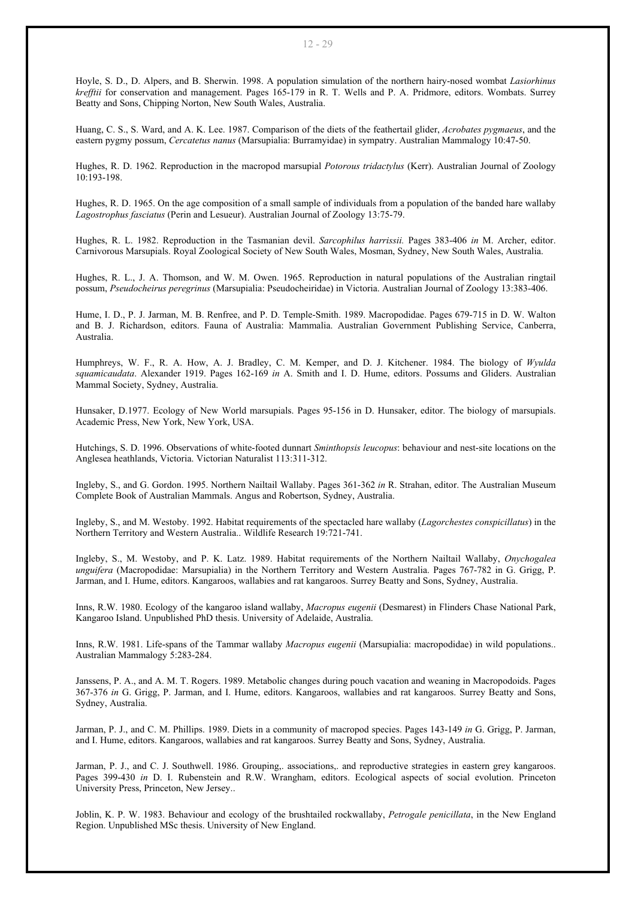Hoyle, S. D., D. Alpers, and B. Sherwin. 1998. A population simulation of the northern hairy-nosed wombat *Lasiorhinus krefftii* for conservation and management. Pages 165-179 in R. T. Wells and P. A. Pridmore, editors. Wombats. Surrey Beatty and Sons, Chipping Norton, New South Wales, Australia.

Huang, C. S., S. Ward, and A. K. Lee. 1987. Comparison of the diets of the feathertail glider, *Acrobates pygmaeus*, and the eastern pygmy possum, *Cercatetus nanus* (Marsupialia: Burramyidae) in sympatry. Australian Mammalogy 10:47-50.

Hughes, R. D. 1962. Reproduction in the macropod marsupial *Potorous tridactylus* (Kerr). Australian Journal of Zoology 10:193-198.

Hughes, R. D. 1965. On the age composition of a small sample of individuals from a population of the banded hare wallaby *Lagostrophus fasciatus* (Perin and Lesueur). Australian Journal of Zoology 13:75-79.

Hughes, R. L. 1982. Reproduction in the Tasmanian devil. *Sarcophilus harrissii.* Pages 383-406 *in* M. Archer, editor. Carnivorous Marsupials. Royal Zoological Society of New South Wales, Mosman, Sydney, New South Wales, Australia.

Hughes, R. L., J. A. Thomson, and W. M. Owen. 1965. Reproduction in natural populations of the Australian ringtail possum, *Pseudocheirus peregrinus* (Marsupialia: Pseudocheiridae) in Victoria. Australian Journal of Zoology 13:383-406.

Hume, I. D., P. J. Jarman, M. B. Renfree, and P. D. Temple-Smith. 1989. Macropodidae. Pages 679-715 in D. W. Walton and B. J. Richardson, editors. Fauna of Australia: Mammalia. Australian Government Publishing Service, Canberra, Australia.

Humphreys, W. F., R. A. How, A. J. Bradley, C. M. Kemper, and D. J. Kitchener. 1984. The biology of *Wyulda squamicaudata*. Alexander 1919. Pages 162-169 *in* A. Smith and I. D. Hume, editors. Possums and Gliders. Australian Mammal Society, Sydney, Australia.

Hunsaker, D.1977. Ecology of New World marsupials. Pages 95-156 in D. Hunsaker, editor. The biology of marsupials. Academic Press, New York, New York, USA.

Hutchings, S. D. 1996. Observations of white-footed dunnart *Sminthopsis leucopus*: behaviour and nest-site locations on the Anglesea heathlands, Victoria. Victorian Naturalist 113:311-312.

Ingleby, S., and G. Gordon. 1995. Northern Nailtail Wallaby. Pages 361-362 *in* R. Strahan, editor. The Australian Museum Complete Book of Australian Mammals. Angus and Robertson, Sydney, Australia.

Ingleby, S., and M. Westoby. 1992. Habitat requirements of the spectacled hare wallaby (*Lagorchestes conspicillatus*) in the Northern Territory and Western Australia.. Wildlife Research 19:721-741.

Ingleby, S., M. Westoby, and P. K. Latz. 1989. Habitat requirements of the Northern Nailtail Wallaby, *Onychogalea unguifera* (Macropodidae: Marsupialia) in the Northern Territory and Western Australia. Pages 767-782 in G. Grigg, P. Jarman, and I. Hume, editors. Kangaroos, wallabies and rat kangaroos. Surrey Beatty and Sons, Sydney, Australia.

Inns, R.W. 1980. Ecology of the kangaroo island wallaby, *Macropus eugenii* (Desmarest) in Flinders Chase National Park, Kangaroo Island. Unpublished PhD thesis. University of Adelaide, Australia.

Inns, R.W. 1981. Life-spans of the Tammar wallaby *Macropus eugenii* (Marsupialia: macropodidae) in wild populations.. Australian Mammalogy 5:283-284.

Janssens, P. A., and A. M. T. Rogers. 1989. Metabolic changes during pouch vacation and weaning in Macropodoids. Pages 367-376 *in* G. Grigg, P. Jarman, and I. Hume, editors. Kangaroos, wallabies and rat kangaroos. Surrey Beatty and Sons, Sydney, Australia.

Jarman, P. J., and C. M. Phillips. 1989. Diets in a community of macropod species. Pages 143-149 *in* G. Grigg, P. Jarman, and I. Hume, editors. Kangaroos, wallabies and rat kangaroos. Surrey Beatty and Sons, Sydney, Australia.

Jarman, P. J., and C. J. Southwell. 1986. Grouping,. associations,. and reproductive strategies in eastern grey kangaroos. Pages 399-430 *in* D. I. Rubenstein and R.W. Wrangham, editors. Ecological aspects of social evolution. Princeton University Press, Princeton, New Jersey..

Joblin, K. P. W. 1983. Behaviour and ecology of the brushtailed rockwallaby, *Petrogale penicillata*, in the New England Region. Unpublished MSc thesis. University of New England.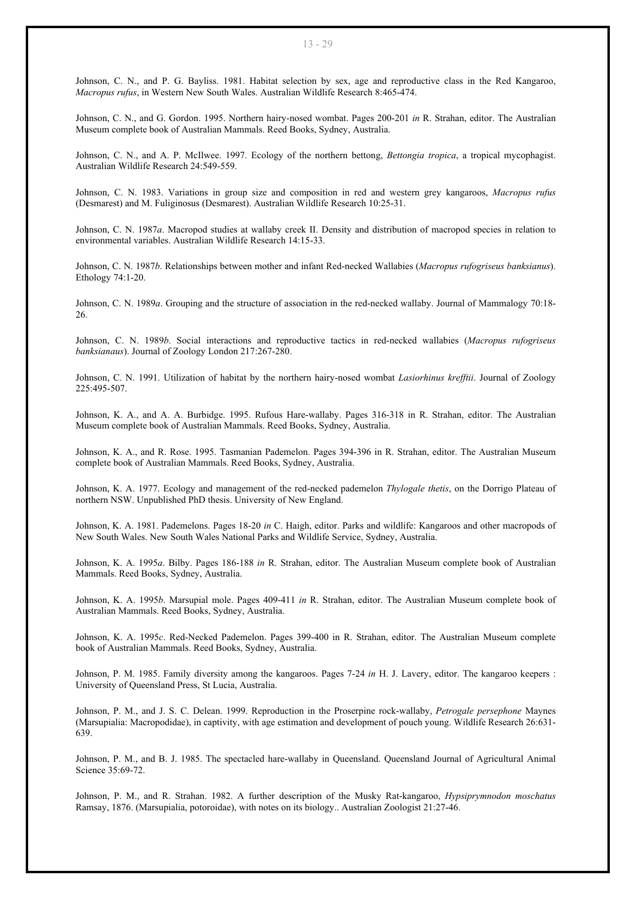Johnson, C. N., and P. G. Bayliss. 1981. Habitat selection by sex, age and reproductive class in the Red Kangaroo, *Macropus rufus*, in Western New South Wales. Australian Wildlife Research 8:465-474.

Johnson, C. N., and G. Gordon. 1995. Northern hairy-nosed wombat. Pages 200-201 *in* R. Strahan, editor. The Australian Museum complete book of Australian Mammals. Reed Books, Sydney, Australia.

Johnson, C. N., and A. P. McIlwee. 1997. Ecology of the northern bettong, *Bettongia tropica*, a tropical mycophagist. Australian Wildlife Research 24:549-559.

Johnson, C. N. 1983. Variations in group size and composition in red and western grey kangaroos, *Macropus rufus* (Desmarest) and M. Fuliginosus (Desmarest). Australian Wildlife Research 10:25-31.

Johnson, C. N. 1987*a*. Macropod studies at wallaby creek II. Density and distribution of macropod species in relation to environmental variables. Australian Wildlife Research 14:15-33.

Johnson, C. N. 1987*b*. Relationships between mother and infant Red-necked Wallabies (*Macropus rufogriseus banksianus*). Ethology 74:1-20.

Johnson, C. N. 1989*a*. Grouping and the structure of association in the red-necked wallaby. Journal of Mammalogy 70:18- 26.

Johnson, C. N. 1989*b*. Social interactions and reproductive tactics in red-necked wallabies (*Macropus rufogriseus banksianaus*). Journal of Zoology London 217:267-280.

Johnson, C. N. 1991. Utilization of habitat by the northern hairy-nosed wombat *Lasiorhinus krefftii*. Journal of Zoology 225:495-507.

Johnson, K. A., and A. A. Burbidge. 1995. Rufous Hare-wallaby. Pages 316-318 in R. Strahan, editor. The Australian Museum complete book of Australian Mammals. Reed Books, Sydney, Australia.

Johnson, K. A., and R. Rose. 1995. Tasmanian Pademelon. Pages 394-396 in R. Strahan, editor. The Australian Museum complete book of Australian Mammals. Reed Books, Sydney, Australia.

Johnson, K. A. 1977. Ecology and management of the red-necked pademelon *Thylogale thetis*, on the Dorrigo Plateau of northern NSW. Unpublished PhD thesis. University of New England.

Johnson, K. A. 1981. Pademelons. Pages 18-20 *in* C. Haigh, editor. Parks and wildlife: Kangaroos and other macropods of New South Wales. New South Wales National Parks and Wildlife Service, Sydney, Australia.

Johnson, K. A. 1995*a*. Bilby. Pages 186-188 *in* R. Strahan, editor. The Australian Museum complete book of Australian Mammals. Reed Books, Sydney, Australia.

Johnson, K. A. 1995*b*. Marsupial mole. Pages 409-411 *in* R. Strahan, editor. The Australian Museum complete book of Australian Mammals. Reed Books, Sydney, Australia.

Johnson, K. A. 1995*c*. Red-Necked Pademelon. Pages 399-400 in R. Strahan, editor. The Australian Museum complete book of Australian Mammals. Reed Books, Sydney, Australia.

Johnson, P. M. 1985. Family diversity among the kangaroos. Pages 7-24 *in* H. J. Lavery, editor. The kangaroo keepers : University of Queensland Press, St Lucia, Australia.

Johnson, P. M., and J. S. C. Delean. 1999. Reproduction in the Proserpine rock-wallaby, *Petrogale persephone* Maynes (Marsupialia: Macropodidae), in captivity, with age estimation and development of pouch young. Wildlife Research 26:631- 639.

Johnson, P. M., and B. J. 1985. The spectacled hare-wallaby in Queensland. Queensland Journal of Agricultural Animal Science 35:69-72.

Johnson, P. M., and R. Strahan. 1982. A further description of the Musky Rat-kangaroo, *Hypsiprymnodon moschatus* Ramsay, 1876. (Marsupialia, potoroidae), with notes on its biology.. Australian Zoologist 21:27-46.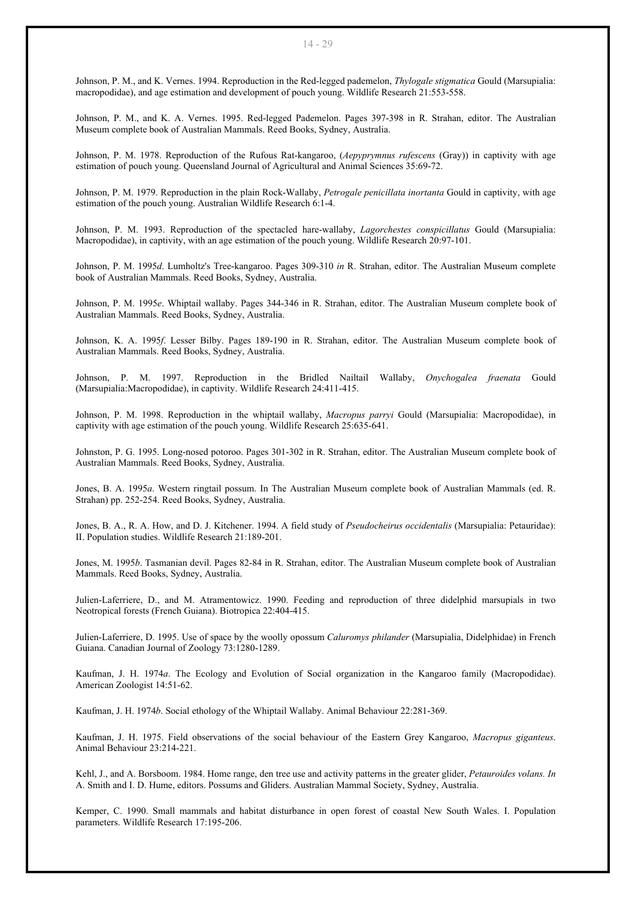Johnson, P. M., and K. Vernes. 1994. Reproduction in the Red-legged pademelon, *Thylogale stigmatica* Gould (Marsupialia: macropodidae), and age estimation and development of pouch young. Wildlife Research 21:553-558.

Johnson, P. M., and K. A. Vernes. 1995. Red-legged Pademelon. Pages 397-398 in R. Strahan, editor. The Australian Museum complete book of Australian Mammals. Reed Books, Sydney, Australia.

Johnson, P. M. 1978. Reproduction of the Rufous Rat-kangaroo, (*Aepyprymnus rufescens* (Gray)) in captivity with age estimation of pouch young. Queensland Journal of Agricultural and Animal Sciences 35:69-72.

Johnson, P. M. 1979. Reproduction in the plain Rock-Wallaby, *Petrogale penicillata inortanta* Gould in captivity, with age estimation of the pouch young. Australian Wildlife Research 6:1-4.

Johnson, P. M. 1993. Reproduction of the spectacled hare-wallaby, *Lagorchestes conspicillatus* Gould (Marsupialia: Macropodidae), in captivity, with an age estimation of the pouch young. Wildlife Research 20:97-101.

Johnson, P. M. 1995*d*. Lumholtz's Tree-kangaroo. Pages 309-310 *in* R. Strahan, editor. The Australian Museum complete book of Australian Mammals. Reed Books, Sydney, Australia.

Johnson, P. M. 1995*e*. Whiptail wallaby. Pages 344-346 in R. Strahan, editor. The Australian Museum complete book of Australian Mammals. Reed Books, Sydney, Australia.

Johnson, K. A. 1995*f*. Lesser Bilby. Pages 189-190 in R. Strahan, editor. The Australian Museum complete book of Australian Mammals. Reed Books, Sydney, Australia.

Johnson, P. M. 1997. Reproduction in the Bridled Nailtail Wallaby, *Onychogalea fraenata* Gould (Marsupialia:Macropodidae), in captivity. Wildlife Research 24:411-415.

Johnson, P. M. 1998. Reproduction in the whiptail wallaby, *Macropus parryi* Gould (Marsupialia: Macropodidae), in captivity with age estimation of the pouch young. Wildlife Research 25:635-641.

Johnston, P. G. 1995. Long-nosed potoroo. Pages 301-302 in R. Strahan, editor. The Australian Museum complete book of Australian Mammals. Reed Books, Sydney, Australia.

Jones, B. A. 1995*a*. Western ringtail possum. In The Australian Museum complete book of Australian Mammals (ed. R. Strahan) pp. 252-254. Reed Books, Sydney, Australia.

Jones, B. A., R. A. How, and D. J. Kitchener. 1994. A field study of *Pseudocheirus occidentalis* (Marsupialia: Petauridae): II. Population studies. Wildlife Research 21:189-201.

Jones, M. 1995*b*. Tasmanian devil. Pages 82-84 in R. Strahan, editor. The Australian Museum complete book of Australian Mammals. Reed Books, Sydney, Australia.

Julien-Laferriere, D., and M. Atramentowicz. 1990. Feeding and reproduction of three didelphid marsupials in two Neotropical forests (French Guiana). Biotropica 22:404-415.

Julien-Laferriere, D. 1995. Use of space by the woolly opossum *Caluromys philander* (Marsupialia, Didelphidae) in French Guiana. Canadian Journal of Zoology 73:1280-1289.

Kaufman, J. H. 1974*a*. The Ecology and Evolution of Social organization in the Kangaroo family (Macropodidae). American Zoologist 14:51-62.

Kaufman, J. H. 1974*b*. Social ethology of the Whiptail Wallaby. Animal Behaviour 22:281-369.

Kaufman, J. H. 1975. Field observations of the social behaviour of the Eastern Grey Kangaroo, *Macropus giganteus*. Animal Behaviour 23:214-221.

Kehl, J., and A. Borsboom. 1984. Home range, den tree use and activity patterns in the greater glider, *Petauroides volans. In* A. Smith and I. D. Hume, editors. Possums and Gliders. Australian Mammal Society, Sydney, Australia.

Kemper, C. 1990. Small mammals and habitat disturbance in open forest of coastal New South Wales. I. Population parameters. Wildlife Research 17:195-206.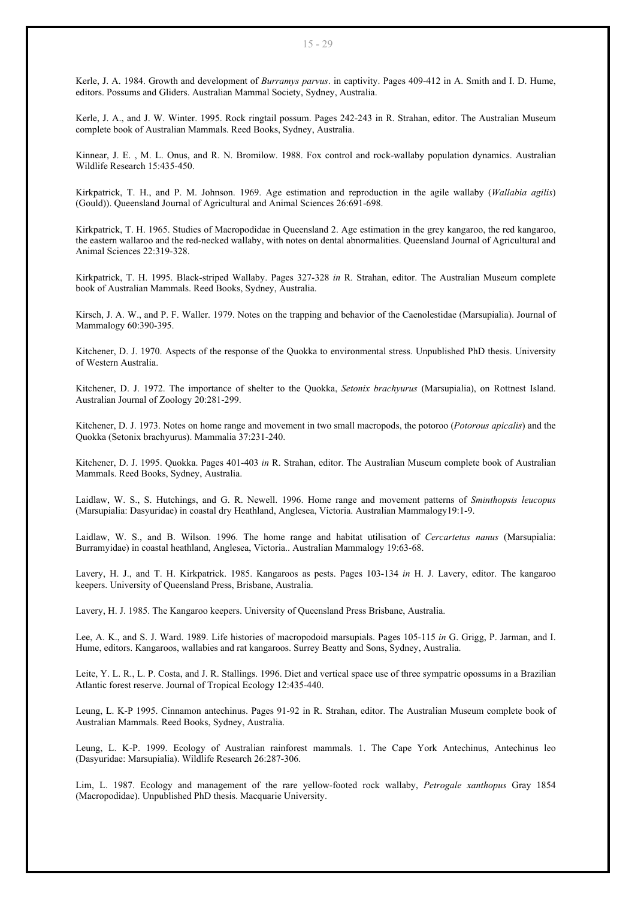Kerle, J. A. 1984. Growth and development of *Burramys parvus*. in captivity. Pages 409-412 in A. Smith and I. D. Hume, editors. Possums and Gliders. Australian Mammal Society, Sydney, Australia.

Kerle, J. A., and J. W. Winter. 1995. Rock ringtail possum. Pages 242-243 in R. Strahan, editor. The Australian Museum complete book of Australian Mammals. Reed Books, Sydney, Australia.

Kinnear, J. E. , M. L. Onus, and R. N. Bromilow. 1988. Fox control and rock-wallaby population dynamics. Australian Wildlife Research 15:435-450.

Kirkpatrick, T. H., and P. M. Johnson. 1969. Age estimation and reproduction in the agile wallaby (*Wallabia agilis*) (Gould)). Queensland Journal of Agricultural and Animal Sciences 26:691-698.

Kirkpatrick, T. H. 1965. Studies of Macropodidae in Queensland 2. Age estimation in the grey kangaroo, the red kangaroo, the eastern wallaroo and the red-necked wallaby, with notes on dental abnormalities. Queensland Journal of Agricultural and Animal Sciences 22:319-328.

Kirkpatrick, T. H. 1995. Black-striped Wallaby. Pages 327-328 *in* R. Strahan, editor. The Australian Museum complete book of Australian Mammals. Reed Books, Sydney, Australia.

Kirsch, J. A. W., and P. F. Waller. 1979. Notes on the trapping and behavior of the Caenolestidae (Marsupialia). Journal of Mammalogy 60:390-395.

Kitchener, D. J. 1970. Aspects of the response of the Quokka to environmental stress. Unpublished PhD thesis. University of Western Australia.

Kitchener, D. J. 1972. The importance of shelter to the Quokka, *Setonix brachyurus* (Marsupialia), on Rottnest Island. Australian Journal of Zoology 20:281-299.

Kitchener, D. J. 1973. Notes on home range and movement in two small macropods, the potoroo (*Potorous apicalis*) and the Quokka (Setonix brachyurus). Mammalia 37:231-240.

Kitchener, D. J. 1995. Quokka. Pages 401-403 *in* R. Strahan, editor. The Australian Museum complete book of Australian Mammals. Reed Books, Sydney, Australia.

Laidlaw, W. S., S. Hutchings, and G. R. Newell. 1996. Home range and movement patterns of *Sminthopsis leucopus* (Marsupialia: Dasyuridae) in coastal dry Heathland, Anglesea, Victoria. Australian Mammalogy19:1-9.

Laidlaw, W. S., and B. Wilson. 1996. The home range and habitat utilisation of *Cercartetus nanus* (Marsupialia: Burramyidae) in coastal heathland, Anglesea, Victoria.. Australian Mammalogy 19:63-68.

Lavery, H. J., and T. H. Kirkpatrick. 1985. Kangaroos as pests. Pages 103-134 *in* H. J. Lavery, editor. The kangaroo keepers. University of Queensland Press, Brisbane, Australia.

Lavery, H. J. 1985. The Kangaroo keepers. University of Queensland Press Brisbane, Australia.

Lee, A. K., and S. J. Ward. 1989. Life histories of macropodoid marsupials. Pages 105-115 *in* G. Grigg, P. Jarman, and I. Hume, editors. Kangaroos, wallabies and rat kangaroos. Surrey Beatty and Sons, Sydney, Australia.

Leite, Y. L. R., L. P. Costa, and J. R. Stallings. 1996. Diet and vertical space use of three sympatric opossums in a Brazilian Atlantic forest reserve. Journal of Tropical Ecology 12:435-440.

Leung, L. K-P 1995. Cinnamon antechinus. Pages 91-92 in R. Strahan, editor. The Australian Museum complete book of Australian Mammals. Reed Books, Sydney, Australia.

Leung, L. K-P. 1999. Ecology of Australian rainforest mammals. 1. The Cape York Antechinus, Antechinus leo (Dasyuridae: Marsupialia). Wildlife Research 26:287-306.

Lim, L. 1987. Ecology and management of the rare yellow-footed rock wallaby, *Petrogale xanthopus* Gray 1854 (Macropodidae). Unpublished PhD thesis. Macquarie University.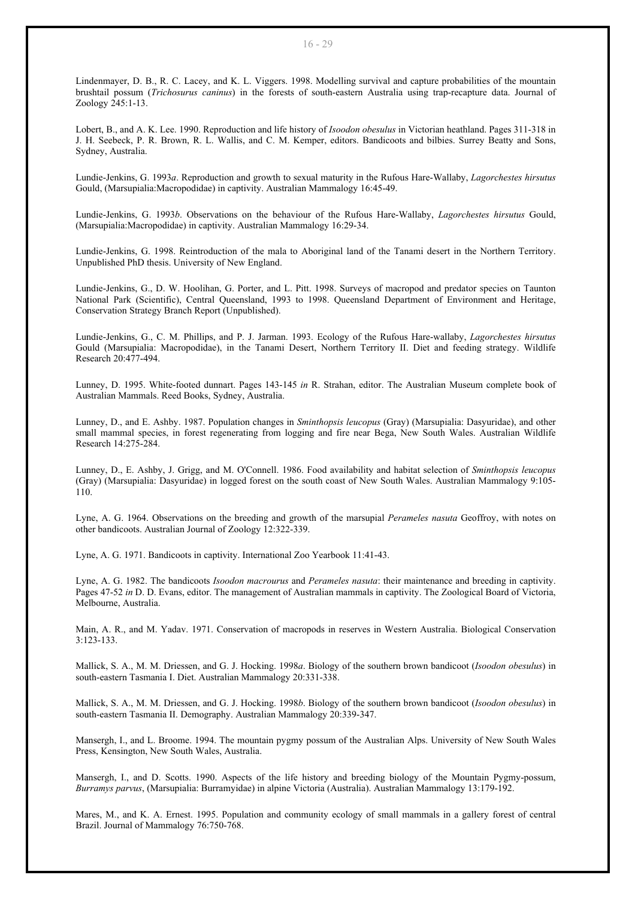Lindenmayer, D. B., R. C. Lacey, and K. L. Viggers. 1998. Modelling survival and capture probabilities of the mountain brushtail possum (*Trichosurus caninus*) in the forests of south-eastern Australia using trap-recapture data. Journal of Zoology 245:1-13.

Lobert, B., and A. K. Lee. 1990. Reproduction and life history of *Isoodon obesulus* in Victorian heathland. Pages 311-318 in J. H. Seebeck, P. R. Brown, R. L. Wallis, and C. M. Kemper, editors. Bandicoots and bilbies. Surrey Beatty and Sons, Sydney, Australia.

Lundie-Jenkins, G. 1993*a*. Reproduction and growth to sexual maturity in the Rufous Hare-Wallaby, *Lagorchestes hirsutus* Gould, (Marsupialia:Macropodidae) in captivity. Australian Mammalogy 16:45-49.

Lundie-Jenkins, G. 1993*b*. Observations on the behaviour of the Rufous Hare-Wallaby, *Lagorchestes hirsutus* Gould, (Marsupialia:Macropodidae) in captivity. Australian Mammalogy 16:29-34.

Lundie-Jenkins, G. 1998. Reintroduction of the mala to Aboriginal land of the Tanami desert in the Northern Territory. Unpublished PhD thesis. University of New England.

Lundie-Jenkins, G., D. W. Hoolihan, G. Porter, and L. Pitt. 1998. Surveys of macropod and predator species on Taunton National Park (Scientific), Central Queensland, 1993 to 1998. Queensland Department of Environment and Heritage, Conservation Strategy Branch Report (Unpublished).

Lundie-Jenkins, G., C. M. Phillips, and P. J. Jarman. 1993. Ecology of the Rufous Hare-wallaby, *Lagorchestes hirsutus* Gould (Marsupialia: Macropodidae), in the Tanami Desert, Northern Territory II. Diet and feeding strategy. Wildlife Research 20:477-494.

Lunney, D. 1995. White-footed dunnart. Pages 143-145 *in* R. Strahan, editor. The Australian Museum complete book of Australian Mammals. Reed Books, Sydney, Australia.

Lunney, D., and E. Ashby. 1987. Population changes in *Sminthopsis leucopus* (Gray) (Marsupialia: Dasyuridae), and other small mammal species, in forest regenerating from logging and fire near Bega, New South Wales. Australian Wildlife Research 14:275-284.

Lunney, D., E. Ashby, J. Grigg, and M. O'Connell. 1986. Food availability and habitat selection of *Sminthopsis leucopus* (Gray) (Marsupialia: Dasyuridae) in logged forest on the south coast of New South Wales. Australian Mammalogy 9:105- 110.

Lyne, A. G. 1964. Observations on the breeding and growth of the marsupial *Perameles nasuta* Geoffroy, with notes on other bandicoots. Australian Journal of Zoology 12:322-339.

Lyne, A. G. 1971. Bandicoots in captivity. International Zoo Yearbook 11:41-43.

Lyne, A. G. 1982. The bandicoots *Isoodon macrourus* and *Perameles nasuta*: their maintenance and breeding in captivity. Pages 47-52 *in* D. D. Evans, editor. The management of Australian mammals in captivity. The Zoological Board of Victoria, Melbourne, Australia.

Main, A. R., and M. Yadav. 1971. Conservation of macropods in reserves in Western Australia. Biological Conservation 3:123-133.

Mallick, S. A., M. M. Driessen, and G. J. Hocking. 1998*a*. Biology of the southern brown bandicoot (*Isoodon obesulus*) in south-eastern Tasmania I. Diet. Australian Mammalogy 20:331-338.

Mallick, S. A., M. M. Driessen, and G. J. Hocking. 1998*b*. Biology of the southern brown bandicoot (*Isoodon obesulus*) in south-eastern Tasmania II. Demography. Australian Mammalogy 20:339-347.

Mansergh, I., and L. Broome. 1994. The mountain pygmy possum of the Australian Alps. University of New South Wales Press, Kensington, New South Wales, Australia.

Mansergh, I., and D. Scotts. 1990. Aspects of the life history and breeding biology of the Mountain Pygmy-possum, *Burramys parvus*, (Marsupialia: Burramyidae) in alpine Victoria (Australia). Australian Mammalogy 13:179-192.

Mares, M., and K. A. Ernest. 1995. Population and community ecology of small mammals in a gallery forest of central Brazil. Journal of Mammalogy 76:750-768.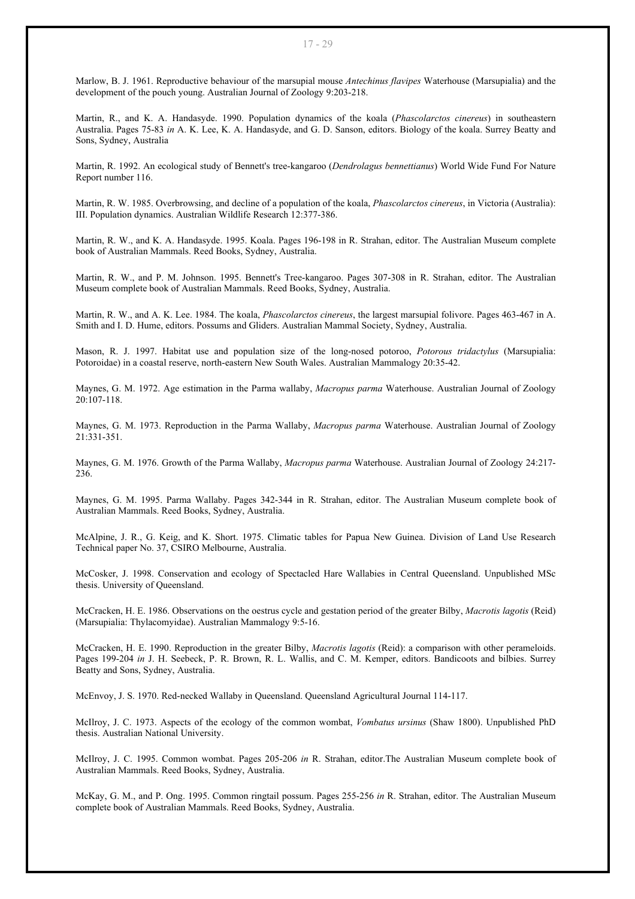Marlow, B. J. 1961. Reproductive behaviour of the marsupial mouse *Antechinus flavipes* Waterhouse (Marsupialia) and the development of the pouch young. Australian Journal of Zoology 9:203-218.

Martin, R., and K. A. Handasyde. 1990. Population dynamics of the koala (*Phascolarctos cinereus*) in southeastern Australia. Pages 75-83 *in* A. K. Lee, K. A. Handasyde, and G. D. Sanson, editors. Biology of the koala. Surrey Beatty and Sons, Sydney, Australia

Martin, R. 1992. An ecological study of Bennett's tree-kangaroo (*Dendrolagus bennettianus*) World Wide Fund For Nature Report number 116.

Martin, R. W. 1985. Overbrowsing, and decline of a population of the koala, *Phascolarctos cinereus*, in Victoria (Australia): III. Population dynamics. Australian Wildlife Research 12:377-386.

Martin, R. W., and K. A. Handasyde. 1995. Koala. Pages 196-198 in R. Strahan, editor. The Australian Museum complete book of Australian Mammals. Reed Books, Sydney, Australia.

Martin, R. W., and P. M. Johnson. 1995. Bennett's Tree-kangaroo. Pages 307-308 in R. Strahan, editor. The Australian Museum complete book of Australian Mammals. Reed Books, Sydney, Australia.

Martin, R. W., and A. K. Lee. 1984. The koala, *Phascolarctos cinereus*, the largest marsupial folivore. Pages 463-467 in A. Smith and I. D. Hume, editors. Possums and Gliders. Australian Mammal Society, Sydney, Australia.

Mason, R. J. 1997. Habitat use and population size of the long-nosed potoroo, *Potorous tridactylus* (Marsupialia: Potoroidae) in a coastal reserve, north-eastern New South Wales. Australian Mammalogy 20:35-42.

Maynes, G. M. 1972. Age estimation in the Parma wallaby, *Macropus parma* Waterhouse. Australian Journal of Zoology 20:107-118.

Maynes, G. M. 1973. Reproduction in the Parma Wallaby, *Macropus parma* Waterhouse. Australian Journal of Zoology 21:331-351.

Maynes, G. M. 1976. Growth of the Parma Wallaby, *Macropus parma* Waterhouse. Australian Journal of Zoology 24:217- 236.

Maynes, G. M. 1995. Parma Wallaby. Pages 342-344 in R. Strahan, editor. The Australian Museum complete book of Australian Mammals. Reed Books, Sydney, Australia.

McAlpine, J. R., G. Keig, and K. Short. 1975. Climatic tables for Papua New Guinea. Division of Land Use Research Technical paper No. 37, CSIRO Melbourne, Australia.

McCosker, J. 1998. Conservation and ecology of Spectacled Hare Wallabies in Central Queensland. Unpublished MSc thesis. University of Queensland.

McCracken, H. E. 1986. Observations on the oestrus cycle and gestation period of the greater Bilby, *Macrotis lagotis* (Reid) (Marsupialia: Thylacomyidae). Australian Mammalogy 9:5-16.

McCracken, H. E. 1990. Reproduction in the greater Bilby, *Macrotis lagotis* (Reid): a comparison with other perameloids. Pages 199-204 *in* J. H. Seebeck, P. R. Brown, R. L. Wallis, and C. M. Kemper, editors. Bandicoots and bilbies. Surrey Beatty and Sons, Sydney, Australia.

McEnvoy, J. S. 1970. Red-necked Wallaby in Queensland. Queensland Agricultural Journal 114-117.

McIlroy, J. C. 1973. Aspects of the ecology of the common wombat, *Vombatus ursinus* (Shaw 1800). Unpublished PhD thesis. Australian National University.

McIlroy, J. C. 1995. Common wombat. Pages 205-206 *in* R. Strahan, editor.The Australian Museum complete book of Australian Mammals. Reed Books, Sydney, Australia.

McKay, G. M., and P. Ong. 1995. Common ringtail possum. Pages 255-256 *in* R. Strahan, editor. The Australian Museum complete book of Australian Mammals. Reed Books, Sydney, Australia.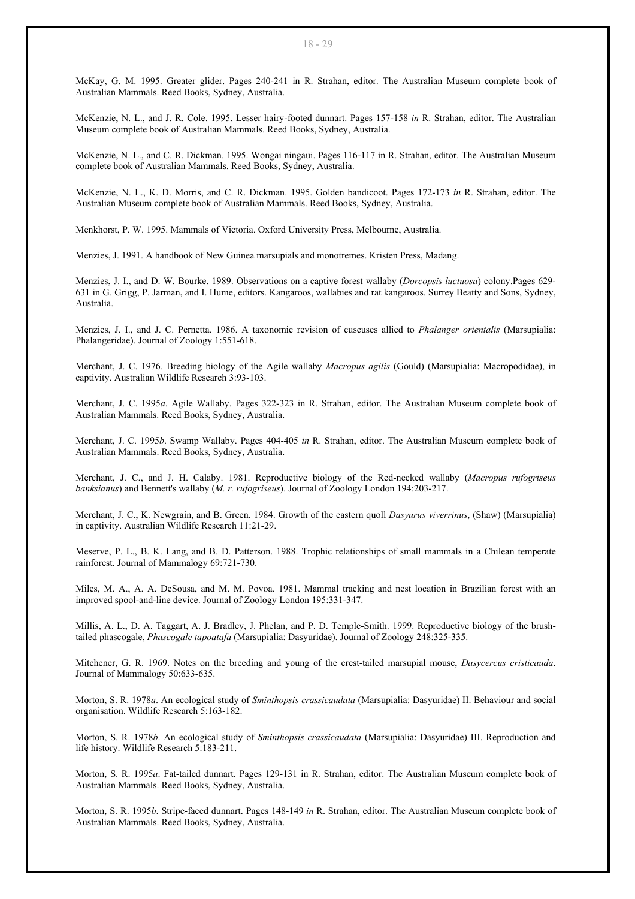McKay, G. M. 1995. Greater glider. Pages 240-241 in R. Strahan, editor. The Australian Museum complete book of Australian Mammals. Reed Books, Sydney, Australia.

McKenzie, N. L., and J. R. Cole. 1995. Lesser hairy-footed dunnart. Pages 157-158 *in* R. Strahan, editor. The Australian Museum complete book of Australian Mammals. Reed Books, Sydney, Australia.

McKenzie, N. L., and C. R. Dickman. 1995. Wongai ningaui. Pages 116-117 in R. Strahan, editor. The Australian Museum complete book of Australian Mammals. Reed Books, Sydney, Australia.

McKenzie, N. L., K. D. Morris, and C. R. Dickman. 1995. Golden bandicoot. Pages 172-173 *in* R. Strahan, editor. The Australian Museum complete book of Australian Mammals. Reed Books, Sydney, Australia.

Menkhorst, P. W. 1995. Mammals of Victoria. Oxford University Press, Melbourne, Australia.

Menzies, J. 1991. A handbook of New Guinea marsupials and monotremes. Kristen Press, Madang.

Menzies, J. I., and D. W. Bourke. 1989. Observations on a captive forest wallaby (*Dorcopsis luctuosa*) colony.Pages 629- 631 in G. Grigg, P. Jarman, and I. Hume, editors. Kangaroos, wallabies and rat kangaroos. Surrey Beatty and Sons, Sydney, Australia.

Menzies, J. I., and J. C. Pernetta. 1986. A taxonomic revision of cuscuses allied to *Phalanger orientalis* (Marsupialia: Phalangeridae). Journal of Zoology 1:551-618.

Merchant, J. C. 1976. Breeding biology of the Agile wallaby *Macropus agilis* (Gould) (Marsupialia: Macropodidae), in captivity. Australian Wildlife Research 3:93-103.

Merchant, J. C. 1995*a*. Agile Wallaby. Pages 322-323 in R. Strahan, editor. The Australian Museum complete book of Australian Mammals. Reed Books, Sydney, Australia.

Merchant, J. C. 1995*b*. Swamp Wallaby. Pages 404-405 *in* R. Strahan, editor. The Australian Museum complete book of Australian Mammals. Reed Books, Sydney, Australia.

Merchant, J. C., and J. H. Calaby. 1981. Reproductive biology of the Red-necked wallaby (*Macropus rufogriseus banksianus*) and Bennett's wallaby (*M. r. rufogriseus*). Journal of Zoology London 194:203-217.

Merchant, J. C., K. Newgrain, and B. Green. 1984. Growth of the eastern quoll *Dasyurus viverrinus*, (Shaw) (Marsupialia) in captivity. Australian Wildlife Research 11:21-29.

Meserve, P. L., B. K. Lang, and B. D. Patterson. 1988. Trophic relationships of small mammals in a Chilean temperate rainforest. Journal of Mammalogy 69:721-730.

Miles, M. A., A. A. DeSousa, and M. M. Povoa. 1981. Mammal tracking and nest location in Brazilian forest with an improved spool-and-line device. Journal of Zoology London 195:331-347.

Millis, A. L., D. A. Taggart, A. J. Bradley, J. Phelan, and P. D. Temple-Smith. 1999. Reproductive biology of the brushtailed phascogale, *Phascogale tapoatafa* (Marsupialia: Dasyuridae). Journal of Zoology 248:325-335.

Mitchener, G. R. 1969. Notes on the breeding and young of the crest-tailed marsupial mouse, *Dasycercus cristicauda*. Journal of Mammalogy 50:633-635.

Morton, S. R. 1978*a*. An ecological study of *Sminthopsis crassicaudata* (Marsupialia: Dasyuridae) II. Behaviour and social organisation. Wildlife Research 5:163-182.

Morton, S. R. 1978*b*. An ecological study of *Sminthopsis crassicaudata* (Marsupialia: Dasyuridae) III. Reproduction and life history. Wildlife Research 5:183-211.

Morton, S. R. 1995*a*. Fat-tailed dunnart. Pages 129-131 in R. Strahan, editor. The Australian Museum complete book of Australian Mammals. Reed Books, Sydney, Australia.

Morton, S. R. 1995*b*. Stripe-faced dunnart. Pages 148-149 *in* R. Strahan, editor. The Australian Museum complete book of Australian Mammals. Reed Books, Sydney, Australia.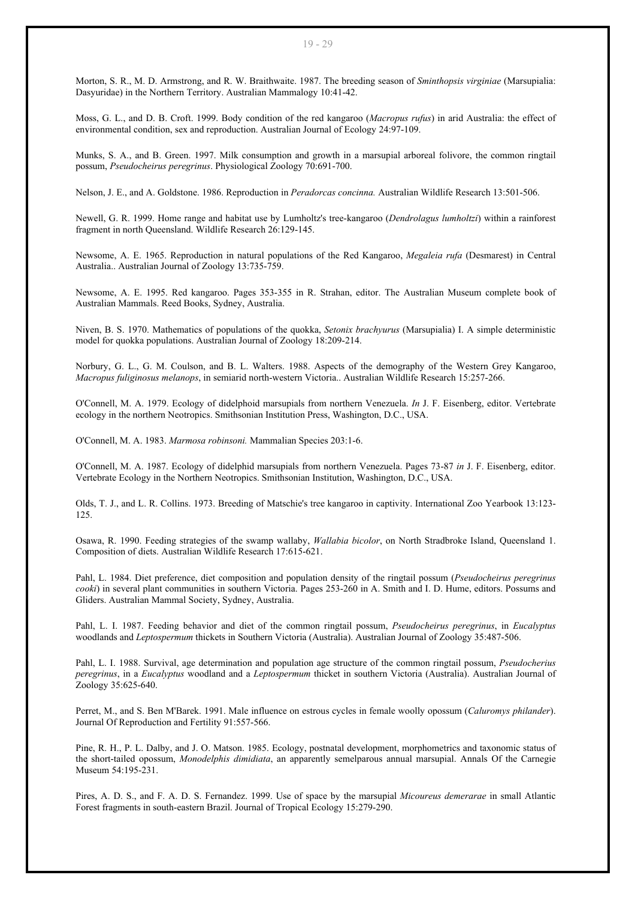Morton, S. R., M. D. Armstrong, and R. W. Braithwaite. 1987. The breeding season of *Sminthopsis virginiae* (Marsupialia: Dasyuridae) in the Northern Territory. Australian Mammalogy 10:41-42.

Moss, G. L., and D. B. Croft. 1999. Body condition of the red kangaroo (*Macropus rufus*) in arid Australia: the effect of environmental condition, sex and reproduction. Australian Journal of Ecology 24:97-109.

Munks, S. A., and B. Green. 1997. Milk consumption and growth in a marsupial arboreal folivore, the common ringtail possum, *Pseudocheirus peregrinus*. Physiological Zoology 70:691-700.

Nelson, J. E., and A. Goldstone. 1986. Reproduction in *Peradorcas concinna.* Australian Wildlife Research 13:501-506.

Newell, G. R. 1999. Home range and habitat use by Lumholtz's tree-kangaroo (*Dendrolagus lumholtzi*) within a rainforest fragment in north Queensland. Wildlife Research 26:129-145.

Newsome, A. E. 1965. Reproduction in natural populations of the Red Kangaroo, *Megaleia rufa* (Desmarest) in Central Australia.. Australian Journal of Zoology 13:735-759.

Newsome, A. E. 1995. Red kangaroo. Pages 353-355 in R. Strahan, editor. The Australian Museum complete book of Australian Mammals. Reed Books, Sydney, Australia.

Niven, B. S. 1970. Mathematics of populations of the quokka, *Setonix brachyurus* (Marsupialia) I. A simple deterministic model for quokka populations. Australian Journal of Zoology 18:209-214.

Norbury, G. L., G. M. Coulson, and B. L. Walters. 1988. Aspects of the demography of the Western Grey Kangaroo, *Macropus fuliginosus melanops*, in semiarid north-western Victoria.. Australian Wildlife Research 15:257-266.

O'Connell, M. A. 1979. Ecology of didelphoid marsupials from northern Venezuela. *In* J. F. Eisenberg, editor. Vertebrate ecology in the northern Neotropics. Smithsonian Institution Press, Washington, D.C., USA.

O'Connell, M. A. 1983. *Marmosa robinsoni.* Mammalian Species 203:1-6.

O'Connell, M. A. 1987. Ecology of didelphid marsupials from northern Venezuela. Pages 73-87 *in* J. F. Eisenberg, editor. Vertebrate Ecology in the Northern Neotropics. Smithsonian Institution, Washington, D.C., USA.

Olds, T. J., and L. R. Collins. 1973. Breeding of Matschie's tree kangaroo in captivity. International Zoo Yearbook 13:123- 125.

Osawa, R. 1990. Feeding strategies of the swamp wallaby, *Wallabia bicolor*, on North Stradbroke Island, Queensland 1. Composition of diets. Australian Wildlife Research 17:615-621.

Pahl, L. 1984. Diet preference, diet composition and population density of the ringtail possum (*Pseudocheirus peregrinus cooki*) in several plant communities in southern Victoria. Pages 253-260 in A. Smith and I. D. Hume, editors. Possums and Gliders. Australian Mammal Society, Sydney, Australia.

Pahl, L. I. 1987. Feeding behavior and diet of the common ringtail possum, *Pseudocheirus peregrinus*, in *Eucalyptus* woodlands and *Leptospermum* thickets in Southern Victoria (Australia). Australian Journal of Zoology 35:487-506.

Pahl, L. I. 1988. Survival, age determination and population age structure of the common ringtail possum, *Pseudocherius peregrinus*, in a *Eucalyptus* woodland and a *Leptospermum* thicket in southern Victoria (Australia). Australian Journal of Zoology 35:625-640.

Perret, M., and S. Ben M'Barek. 1991. Male influence on estrous cycles in female woolly opossum (*Caluromys philander*). Journal Of Reproduction and Fertility 91:557-566.

Pine, R. H., P. L. Dalby, and J. O. Matson. 1985. Ecology, postnatal development, morphometrics and taxonomic status of the short-tailed opossum, *Monodelphis dimidiata*, an apparently semelparous annual marsupial. Annals Of the Carnegie Museum 54:195-231.

Pires, A. D. S., and F. A. D. S. Fernandez. 1999. Use of space by the marsupial *Micoureus demerarae* in small Atlantic Forest fragments in south-eastern Brazil. Journal of Tropical Ecology 15:279-290.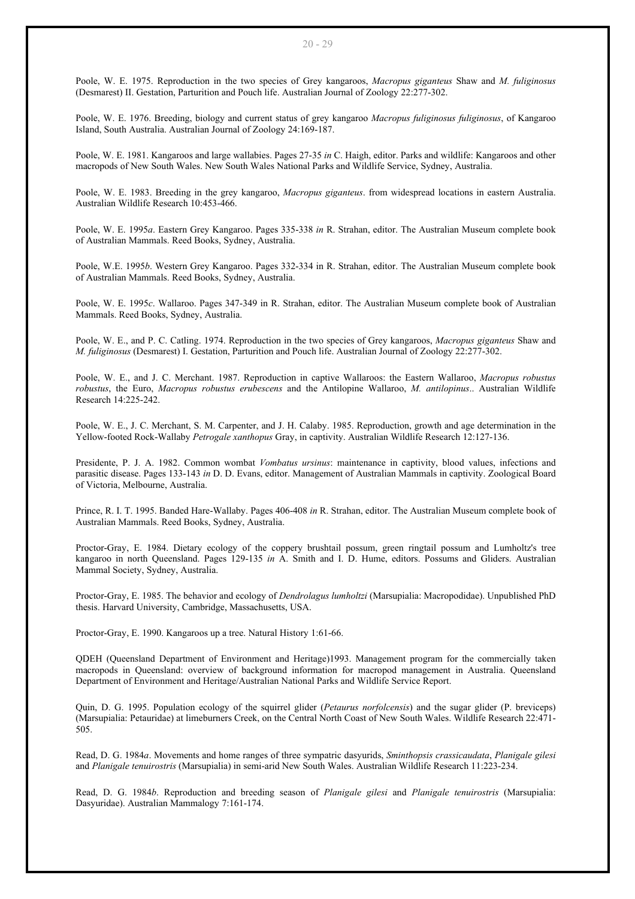Poole, W. E. 1975. Reproduction in the two species of Grey kangaroos, *Macropus giganteus* Shaw and *M. fuliginosus* (Desmarest) II. Gestation, Parturition and Pouch life. Australian Journal of Zoology 22:277-302.

Poole, W. E. 1976. Breeding, biology and current status of grey kangaroo *Macropus fuliginosus fuliginosus*, of Kangaroo Island, South Australia. Australian Journal of Zoology 24:169-187.

Poole, W. E. 1981. Kangaroos and large wallabies. Pages 27-35 *in* C. Haigh, editor. Parks and wildlife: Kangaroos and other macropods of New South Wales. New South Wales National Parks and Wildlife Service, Sydney, Australia.

Poole, W. E. 1983. Breeding in the grey kangaroo, *Macropus giganteus*. from widespread locations in eastern Australia. Australian Wildlife Research 10:453-466.

Poole, W. E. 1995*a*. Eastern Grey Kangaroo. Pages 335-338 *in* R. Strahan, editor. The Australian Museum complete book of Australian Mammals. Reed Books, Sydney, Australia.

Poole, W.E. 1995*b*. Western Grey Kangaroo. Pages 332-334 in R. Strahan, editor. The Australian Museum complete book of Australian Mammals. Reed Books, Sydney, Australia.

Poole, W. E. 1995*c*. Wallaroo. Pages 347-349 in R. Strahan, editor. The Australian Museum complete book of Australian Mammals. Reed Books, Sydney, Australia.

Poole, W. E., and P. C. Catling. 1974. Reproduction in the two species of Grey kangaroos, *Macropus giganteus* Shaw and *M. fuliginosus* (Desmarest) I. Gestation, Parturition and Pouch life. Australian Journal of Zoology 22:277-302.

Poole, W. E., and J. C. Merchant. 1987. Reproduction in captive Wallaroos: the Eastern Wallaroo, *Macropus robustus robustus*, the Euro, *Macropus robustus erubescens* and the Antilopine Wallaroo, *M. antilopinus*.. Australian Wildlife Research 14:225-242.

Poole, W. E., J. C. Merchant, S. M. Carpenter, and J. H. Calaby. 1985. Reproduction, growth and age determination in the Yellow-footed Rock-Wallaby *Petrogale xanthopus* Gray, in captivity. Australian Wildlife Research 12:127-136.

Presidente, P. J. A. 1982. Common wombat *Vombatus ursinus*: maintenance in captivity, blood values, infections and parasitic disease. Pages 133-143 *in* D. D. Evans, editor. Management of Australian Mammals in captivity. Zoological Board of Victoria, Melbourne, Australia.

Prince, R. I. T. 1995. Banded Hare-Wallaby. Pages 406-408 *in* R. Strahan, editor. The Australian Museum complete book of Australian Mammals. Reed Books, Sydney, Australia.

Proctor-Gray, E. 1984. Dietary ecology of the coppery brushtail possum, green ringtail possum and Lumholtz's tree kangaroo in north Queensland. Pages 129-135 *in* A. Smith and I. D. Hume, editors. Possums and Gliders. Australian Mammal Society, Sydney, Australia.

Proctor-Gray, E. 1985. The behavior and ecology of *Dendrolagus lumholtzi* (Marsupialia: Macropodidae). Unpublished PhD thesis. Harvard University, Cambridge, Massachusetts, USA.

Proctor-Gray, E. 1990. Kangaroos up a tree. Natural History 1:61-66.

QDEH (Queensland Department of Environment and Heritage)1993. Management program for the commercially taken macropods in Queensland: overview of background information for macropod management in Australia. Queensland Department of Environment and Heritage/Australian National Parks and Wildlife Service Report.

Quin, D. G. 1995. Population ecology of the squirrel glider (*Petaurus norfolcensis*) and the sugar glider (P. breviceps) (Marsupialia: Petauridae) at limeburners Creek, on the Central North Coast of New South Wales. Wildlife Research 22:471- 505.

Read, D. G. 1984*a*. Movements and home ranges of three sympatric dasyurids, *Sminthopsis crassicaudata*, *Planigale gilesi* and *Planigale tenuirostris* (Marsupialia) in semi-arid New South Wales. Australian Wildlife Research 11:223-234.

Read, D. G. 1984*b*. Reproduction and breeding season of *Planigale gilesi* and *Planigale tenuirostris* (Marsupialia: Dasyuridae). Australian Mammalogy 7:161-174.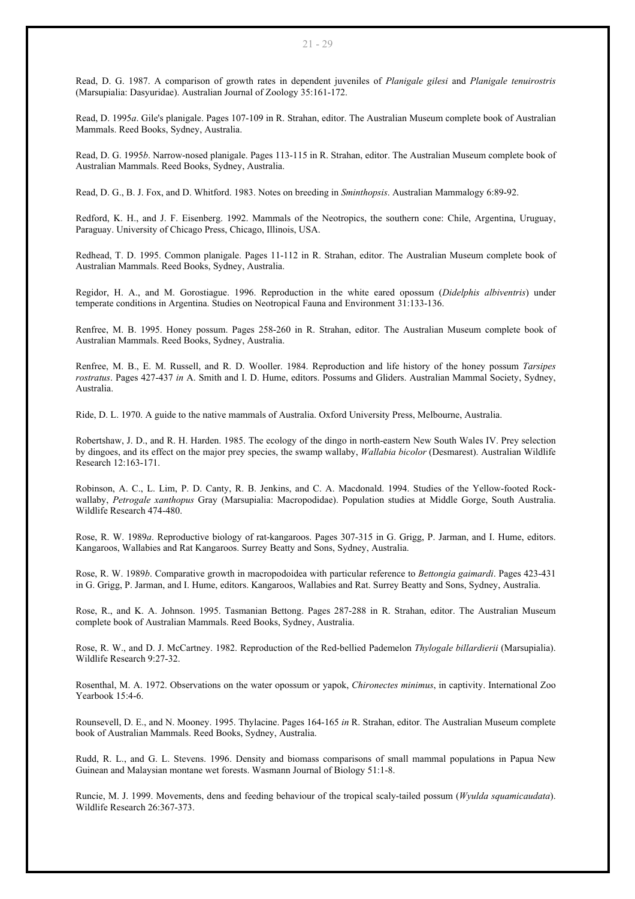Read, D. G. 1987. A comparison of growth rates in dependent juveniles of *Planigale gilesi* and *Planigale tenuirostris* (Marsupialia: Dasyuridae). Australian Journal of Zoology 35:161-172.

Read, D. 1995*a*. Gile's planigale. Pages 107-109 in R. Strahan, editor. The Australian Museum complete book of Australian Mammals. Reed Books, Sydney, Australia.

Read, D. G. 1995*b*. Narrow-nosed planigale. Pages 113-115 in R. Strahan, editor. The Australian Museum complete book of Australian Mammals. Reed Books, Sydney, Australia.

Read, D. G., B. J. Fox, and D. Whitford. 1983. Notes on breeding in *Sminthopsis*. Australian Mammalogy 6:89-92.

Redford, K. H., and J. F. Eisenberg. 1992. Mammals of the Neotropics, the southern cone: Chile, Argentina, Uruguay, Paraguay. University of Chicago Press, Chicago, Illinois, USA.

Redhead, T. D. 1995. Common planigale. Pages 11-112 in R. Strahan, editor. The Australian Museum complete book of Australian Mammals. Reed Books, Sydney, Australia.

Regidor, H. A., and M. Gorostiague. 1996. Reproduction in the white eared opossum (*Didelphis albiventris*) under temperate conditions in Argentina. Studies on Neotropical Fauna and Environment 31:133-136.

Renfree, M. B. 1995. Honey possum. Pages 258-260 in R. Strahan, editor. The Australian Museum complete book of Australian Mammals. Reed Books, Sydney, Australia.

Renfree, M. B., E. M. Russell, and R. D. Wooller. 1984. Reproduction and life history of the honey possum *Tarsipes rostratus*. Pages 427-437 *in* A. Smith and I. D. Hume, editors. Possums and Gliders. Australian Mammal Society, Sydney, Australia.

Ride, D. L. 1970. A guide to the native mammals of Australia. Oxford University Press, Melbourne, Australia.

Robertshaw, J. D., and R. H. Harden. 1985. The ecology of the dingo in north-eastern New South Wales IV. Prey selection by dingoes, and its effect on the major prey species, the swamp wallaby, *Wallabia bicolor* (Desmarest). Australian Wildlife Research 12:163-171.

Robinson, A. C., L. Lim, P. D. Canty, R. B. Jenkins, and C. A. Macdonald. 1994. Studies of the Yellow-footed Rockwallaby, *Petrogale xanthopus* Gray (Marsupialia: Macropodidae). Population studies at Middle Gorge, South Australia. Wildlife Research 474-480.

Rose, R. W. 1989*a*. Reproductive biology of rat-kangaroos. Pages 307-315 in G. Grigg, P. Jarman, and I. Hume, editors. Kangaroos, Wallabies and Rat Kangaroos. Surrey Beatty and Sons, Sydney, Australia.

Rose, R. W. 1989*b*. Comparative growth in macropodoidea with particular reference to *Bettongia gaimardi*. Pages 423-431 in G. Grigg, P. Jarman, and I. Hume, editors. Kangaroos, Wallabies and Rat. Surrey Beatty and Sons, Sydney, Australia.

Rose, R., and K. A. Johnson. 1995. Tasmanian Bettong. Pages 287-288 in R. Strahan, editor. The Australian Museum complete book of Australian Mammals. Reed Books, Sydney, Australia.

Rose, R. W., and D. J. McCartney. 1982. Reproduction of the Red-bellied Pademelon *Thylogale billardierii* (Marsupialia). Wildlife Research 9:27-32.

Rosenthal, M. A. 1972. Observations on the water opossum or yapok, *Chironectes minimus*, in captivity. International Zoo Yearbook 15:4-6.

Rounsevell, D. E., and N. Mooney. 1995. Thylacine. Pages 164-165 *in* R. Strahan, editor. The Australian Museum complete book of Australian Mammals. Reed Books, Sydney, Australia.

Rudd, R. L., and G. L. Stevens. 1996. Density and biomass comparisons of small mammal populations in Papua New Guinean and Malaysian montane wet forests. Wasmann Journal of Biology 51:1-8.

Runcie, M. J. 1999. Movements, dens and feeding behaviour of the tropical scaly-tailed possum (*Wyulda squamicaudata*). Wildlife Research 26:367-373.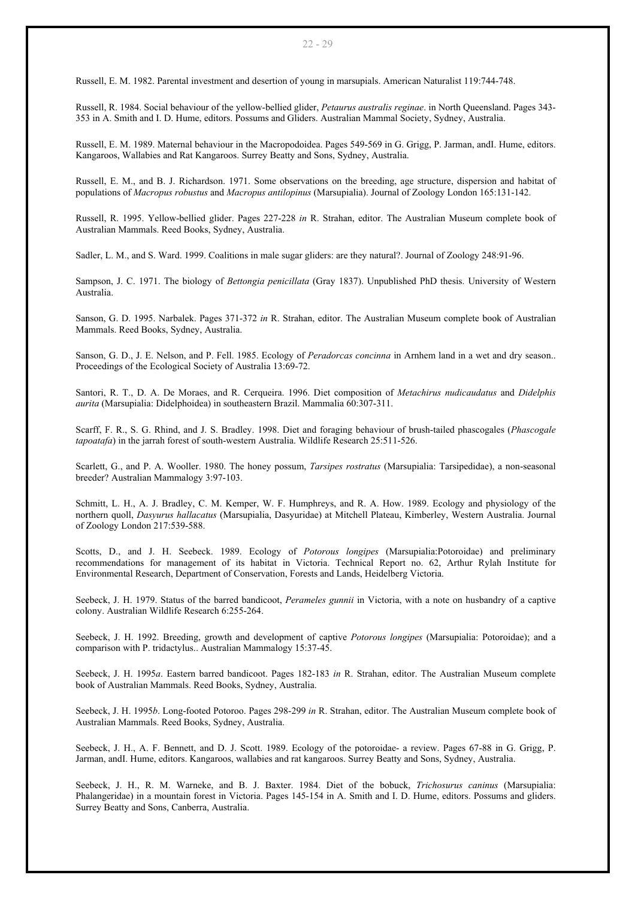Russell, E. M. 1982. Parental investment and desertion of young in marsupials. American Naturalist 119:744-748.

Russell, R. 1984. Social behaviour of the yellow-bellied glider, *Petaurus australis reginae*. in North Queensland. Pages 343- 353 in A. Smith and I. D. Hume, editors. Possums and Gliders. Australian Mammal Society, Sydney, Australia.

Russell, E. M. 1989. Maternal behaviour in the Macropodoidea. Pages 549-569 in G. Grigg, P. Jarman, andI. Hume, editors. Kangaroos, Wallabies and Rat Kangaroos. Surrey Beatty and Sons, Sydney, Australia.

Russell, E. M., and B. J. Richardson. 1971. Some observations on the breeding, age structure, dispersion and habitat of populations of *Macropus robustus* and *Macropus antilopinus* (Marsupialia). Journal of Zoology London 165:131-142.

Russell, R. 1995. Yellow-bellied glider. Pages 227-228 *in* R. Strahan, editor. The Australian Museum complete book of Australian Mammals. Reed Books, Sydney, Australia.

Sadler, L. M., and S. Ward. 1999. Coalitions in male sugar gliders: are they natural?. Journal of Zoology 248:91-96.

Sampson, J. C. 1971. The biology of *Bettongia penicillata* (Gray 1837). Unpublished PhD thesis. University of Western Australia.

Sanson, G. D. 1995. Narbalek. Pages 371-372 *in* R. Strahan, editor. The Australian Museum complete book of Australian Mammals. Reed Books, Sydney, Australia.

Sanson, G. D., J. E. Nelson, and P. Fell. 1985. Ecology of *Peradorcas concinna* in Arnhem land in a wet and dry season.. Proceedings of the Ecological Society of Australia 13:69-72.

Santori, R. T., D. A. De Moraes, and R. Cerqueira. 1996. Diet composition of *Metachirus nudicaudatus* and *Didelphis aurita* (Marsupialia: Didelphoidea) in southeastern Brazil. Mammalia 60:307-311.

Scarff, F. R., S. G. Rhind, and J. S. Bradley. 1998. Diet and foraging behaviour of brush-tailed phascogales (*Phascogale tapoatafa*) in the jarrah forest of south-western Australia. Wildlife Research 25:511-526.

Scarlett, G., and P. A. Wooller. 1980. The honey possum, *Tarsipes rostratus* (Marsupialia: Tarsipedidae), a non-seasonal breeder? Australian Mammalogy 3:97-103.

Schmitt, L. H., A. J. Bradley, C. M. Kemper, W. F. Humphreys, and R. A. How. 1989. Ecology and physiology of the northern quoll, *Dasyurus hallacatus* (Marsupialia, Dasyuridae) at Mitchell Plateau, Kimberley, Western Australia. Journal of Zoology London 217:539-588.

Scotts, D., and J. H. Seebeck. 1989. Ecology of *Potorous longipes* (Marsupialia:Potoroidae) and preliminary recommendations for management of its habitat in Victoria. Technical Report no. 62, Arthur Rylah Institute for Environmental Research, Department of Conservation, Forests and Lands, Heidelberg Victoria.

Seebeck, J. H. 1979. Status of the barred bandicoot, *Perameles gunnii* in Victoria, with a note on husbandry of a captive colony. Australian Wildlife Research 6:255-264.

Seebeck, J. H. 1992. Breeding, growth and development of captive *Potorous longipes* (Marsupialia: Potoroidae); and a comparison with P. tridactylus.. Australian Mammalogy 15:37-45.

Seebeck, J. H. 1995*a*. Eastern barred bandicoot. Pages 182-183 *in* R. Strahan, editor. The Australian Museum complete book of Australian Mammals. Reed Books, Sydney, Australia.

Seebeck, J. H. 1995*b*. Long-footed Potoroo. Pages 298-299 *in* R. Strahan, editor. The Australian Museum complete book of Australian Mammals. Reed Books, Sydney, Australia.

Seebeck, J. H., A. F. Bennett, and D. J. Scott. 1989. Ecology of the potoroidae- a review. Pages 67-88 in G. Grigg, P. Jarman, andI. Hume, editors. Kangaroos, wallabies and rat kangaroos. Surrey Beatty and Sons, Sydney, Australia.

Seebeck, J. H., R. M. Warneke, and B. J. Baxter. 1984. Diet of the bobuck, *Trichosurus caninus* (Marsupialia: Phalangeridae) in a mountain forest in Victoria. Pages 145-154 in A. Smith and I. D. Hume, editors. Possums and gliders. Surrey Beatty and Sons, Canberra, Australia.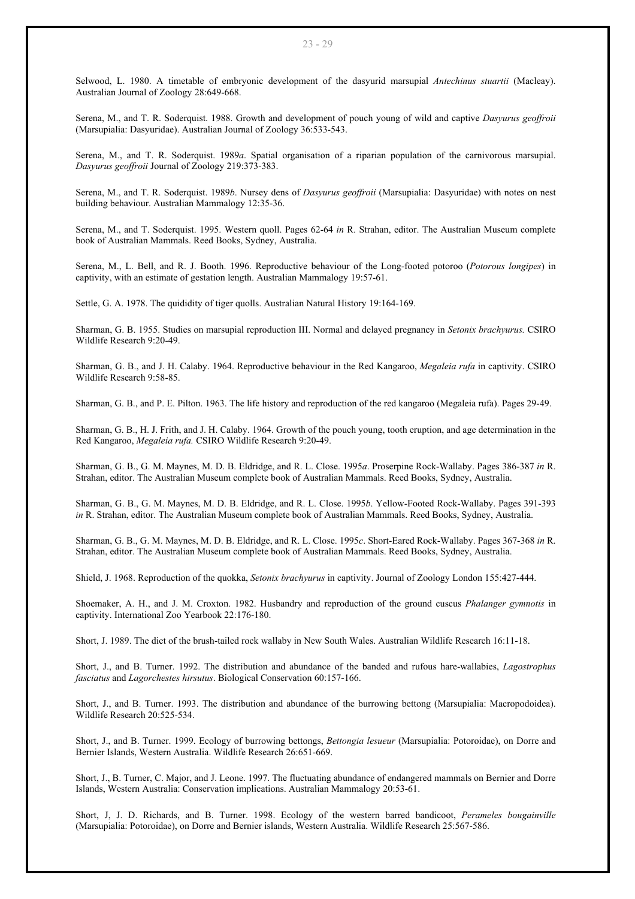Selwood, L. 1980. A timetable of embryonic development of the dasyurid marsupial *Antechinus stuartii* (Macleay). Australian Journal of Zoology 28:649-668.

Serena, M., and T. R. Soderquist. 1988. Growth and development of pouch young of wild and captive *Dasyurus geoffroii*  (Marsupialia: Dasyuridae). Australian Journal of Zoology 36:533-543.

Serena, M., and T. R. Soderquist. 1989*a*. Spatial organisation of a riparian population of the carnivorous marsupial. *Dasyurus geoffroii* Journal of Zoology 219:373-383.

Serena, M., and T. R. Soderquist. 1989*b*. Nursey dens of *Dasyurus geoffroii* (Marsupialia: Dasyuridae) with notes on nest building behaviour. Australian Mammalogy 12:35-36.

Serena, M., and T. Soderquist. 1995. Western quoll. Pages 62-64 *in* R. Strahan, editor. The Australian Museum complete book of Australian Mammals. Reed Books, Sydney, Australia.

Serena, M., L. Bell, and R. J. Booth. 1996. Reproductive behaviour of the Long-footed potoroo (*Potorous longipes*) in captivity, with an estimate of gestation length. Australian Mammalogy 19:57-61.

Settle, G. A. 1978. The quididity of tiger quolls. Australian Natural History 19:164-169.

Sharman, G. B. 1955. Studies on marsupial reproduction III. Normal and delayed pregnancy in *Setonix brachyurus.* CSIRO Wildlife Research 9:20-49.

Sharman, G. B., and J. H. Calaby. 1964. Reproductive behaviour in the Red Kangaroo, *Megaleia rufa* in captivity. CSIRO Wildlife Research 9:58-85.

Sharman, G. B., and P. E. Pilton. 1963. The life history and reproduction of the red kangaroo (Megaleia rufa). Pages 29-49.

Sharman, G. B., H. J. Frith, and J. H. Calaby. 1964. Growth of the pouch young, tooth eruption, and age determination in the Red Kangaroo, *Megaleia rufa.* CSIRO Wildlife Research 9:20-49.

Sharman, G. B., G. M. Maynes, M. D. B. Eldridge, and R. L. Close. 1995*a*. Proserpine Rock-Wallaby. Pages 386-387 *in* R. Strahan, editor. The Australian Museum complete book of Australian Mammals. Reed Books, Sydney, Australia.

Sharman, G. B., G. M. Maynes, M. D. B. Eldridge, and R. L. Close. 1995*b*. Yellow-Footed Rock-Wallaby. Pages 391-393 *in* R. Strahan, editor. The Australian Museum complete book of Australian Mammals. Reed Books, Sydney, Australia.

Sharman, G. B., G. M. Maynes, M. D. B. Eldridge, and R. L. Close. 1995*c*. Short-Eared Rock-Wallaby. Pages 367-368 *in* R. Strahan, editor. The Australian Museum complete book of Australian Mammals. Reed Books, Sydney, Australia.

Shield, J. 1968. Reproduction of the quokka, *Setonix brachyurus* in captivity. Journal of Zoology London 155:427-444.

Shoemaker, A. H., and J. M. Croxton. 1982. Husbandry and reproduction of the ground cuscus *Phalanger gymnotis* in captivity. International Zoo Yearbook 22:176-180.

Short, J. 1989. The diet of the brush-tailed rock wallaby in New South Wales. Australian Wildlife Research 16:11-18.

Short, J., and B. Turner. 1992. The distribution and abundance of the banded and rufous hare-wallabies, *Lagostrophus fasciatus* and *Lagorchestes hirsutus*. Biological Conservation 60:157-166.

Short, J., and B. Turner. 1993. The distribution and abundance of the burrowing bettong (Marsupialia: Macropodoidea). Wildlife Research 20:525-534.

Short, J., and B. Turner. 1999. Ecology of burrowing bettongs, *Bettongia lesueur* (Marsupialia: Potoroidae), on Dorre and Bernier Islands, Western Australia. Wildlife Research 26:651-669.

Short, J., B. Turner, C. Major, and J. Leone. 1997. The fluctuating abundance of endangered mammals on Bernier and Dorre Islands, Western Australia: Conservation implications. Australian Mammalogy 20:53-61.

Short, J, J. D. Richards, and B. Turner. 1998. Ecology of the western barred bandicoot, *Perameles bougainville* (Marsupialia: Potoroidae), on Dorre and Bernier islands, Western Australia. Wildlife Research 25:567-586.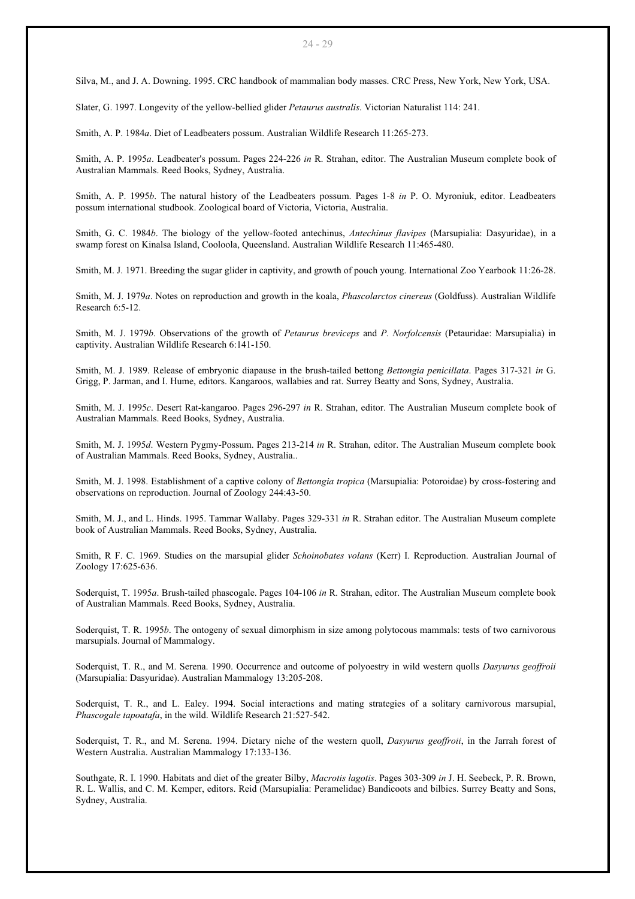Silva, M., and J. A. Downing. 1995. CRC handbook of mammalian body masses. CRC Press, New York, New York, USA.

Slater, G. 1997. Longevity of the yellow-bellied glider *Petaurus australis*. Victorian Naturalist 114: 241.

Smith, A. P. 1984*a*. Diet of Leadbeaters possum. Australian Wildlife Research 11:265-273.

Smith, A. P. 1995*a*. Leadbeater's possum. Pages 224-226 *in* R. Strahan, editor. The Australian Museum complete book of Australian Mammals. Reed Books, Sydney, Australia.

Smith, A. P. 1995*b*. The natural history of the Leadbeaters possum. Pages 1-8 *in* P. O. Myroniuk, editor. Leadbeaters possum international studbook. Zoological board of Victoria, Victoria, Australia.

Smith, G. C. 1984*b*. The biology of the yellow-footed antechinus, *Antechinus flavipes* (Marsupialia: Dasyuridae), in a swamp forest on Kinalsa Island, Cooloola, Queensland. Australian Wildlife Research 11:465-480.

Smith, M. J. 1971. Breeding the sugar glider in captivity, and growth of pouch young. International Zoo Yearbook 11:26-28.

Smith, M. J. 1979*a*. Notes on reproduction and growth in the koala, *Phascolarctos cinereus* (Goldfuss). Australian Wildlife Research 6:5-12.

Smith, M. J. 1979*b*. Observations of the growth of *Petaurus breviceps* and *P. Norfolcensis* (Petauridae: Marsupialia) in captivity. Australian Wildlife Research 6:141-150.

Smith, M. J. 1989. Release of embryonic diapause in the brush-tailed bettong *Bettongia penicillata*. Pages 317-321 *in* G. Grigg, P. Jarman, and I. Hume, editors. Kangaroos, wallabies and rat. Surrey Beatty and Sons, Sydney, Australia.

Smith, M. J. 1995*c*. Desert Rat-kangaroo. Pages 296-297 *in* R. Strahan, editor. The Australian Museum complete book of Australian Mammals. Reed Books, Sydney, Australia.

Smith, M. J. 1995*d*. Western Pygmy-Possum. Pages 213-214 *in* R. Strahan, editor. The Australian Museum complete book of Australian Mammals. Reed Books, Sydney, Australia..

Smith, M. J. 1998. Establishment of a captive colony of *Bettongia tropica* (Marsupialia: Potoroidae) by cross-fostering and observations on reproduction. Journal of Zoology 244:43-50.

Smith, M. J., and L. Hinds. 1995. Tammar Wallaby. Pages 329-331 *in* R. Strahan editor. The Australian Museum complete book of Australian Mammals. Reed Books, Sydney, Australia.

Smith, R F. C. 1969. Studies on the marsupial glider *Schoinobates volans* (Kerr) I. Reproduction. Australian Journal of Zoology 17:625-636.

Soderquist, T. 1995*a*. Brush-tailed phascogale. Pages 104-106 *in* R. Strahan, editor. The Australian Museum complete book of Australian Mammals. Reed Books, Sydney, Australia.

Soderquist, T. R. 1995*b*. The ontogeny of sexual dimorphism in size among polytocous mammals: tests of two carnivorous marsupials. Journal of Mammalogy.

Soderquist, T. R., and M. Serena. 1990. Occurrence and outcome of polyoestry in wild western quolls *Dasyurus geoffroii* (Marsupialia: Dasyuridae). Australian Mammalogy 13:205-208.

Soderquist, T. R., and L. Ealey. 1994. Social interactions and mating strategies of a solitary carnivorous marsupial, *Phascogale tapoatafa*, in the wild. Wildlife Research 21:527-542.

Soderquist, T. R., and M. Serena. 1994. Dietary niche of the western quoll, *Dasyurus geoffroii*, in the Jarrah forest of Western Australia. Australian Mammalogy 17:133-136.

Southgate, R. I. 1990. Habitats and diet of the greater Bilby, *Macrotis lagotis*. Pages 303-309 *in* J. H. Seebeck, P. R. Brown, R. L. Wallis, and C. M. Kemper, editors. Reid (Marsupialia: Peramelidae) Bandicoots and bilbies. Surrey Beatty and Sons, Sydney, Australia.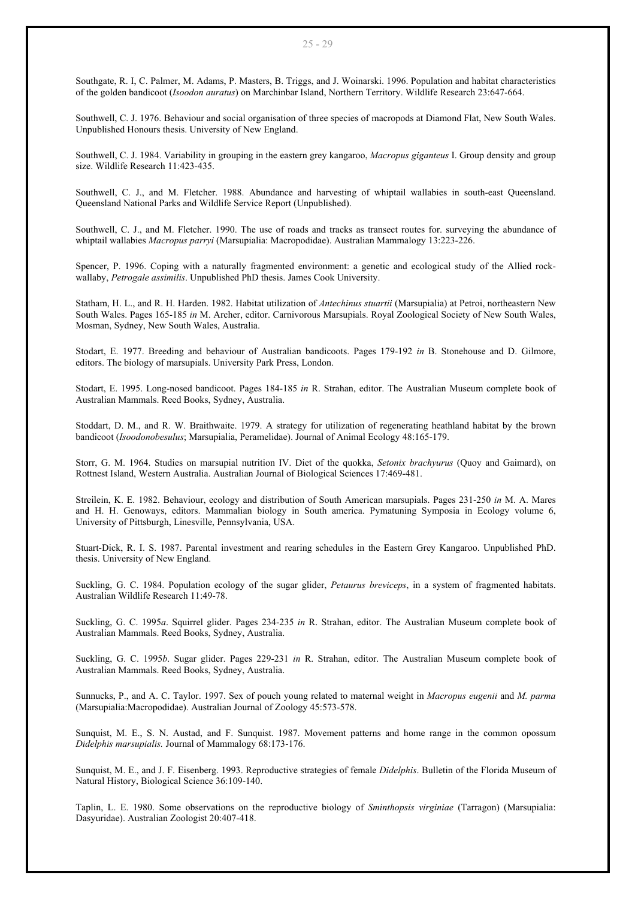Southgate, R. I, C. Palmer, M. Adams, P. Masters, B. Triggs, and J. Woinarski. 1996. Population and habitat characteristics of the golden bandicoot (*Isoodon auratus*) on Marchinbar Island, Northern Territory. Wildlife Research 23:647-664.

Southwell, C. J. 1976. Behaviour and social organisation of three species of macropods at Diamond Flat, New South Wales. Unpublished Honours thesis. University of New England.

Southwell, C. J. 1984. Variability in grouping in the eastern grey kangaroo, *Macropus giganteus* I. Group density and group size. Wildlife Research 11:423-435.

Southwell, C. J., and M. Fletcher. 1988. Abundance and harvesting of whiptail wallabies in south-east Queensland. Queensland National Parks and Wildlife Service Report (Unpublished).

Southwell, C. J., and M. Fletcher. 1990. The use of roads and tracks as transect routes for. surveying the abundance of whiptail wallabies *Macropus parryi* (Marsupialia: Macropodidae). Australian Mammalogy 13:223-226.

Spencer, P. 1996. Coping with a naturally fragmented environment: a genetic and ecological study of the Allied rockwallaby, *Petrogale assimilis*. Unpublished PhD thesis. James Cook University.

Statham, H. L., and R. H. Harden. 1982. Habitat utilization of *Antechinus stuartii* (Marsupialia) at Petroi, northeastern New South Wales. Pages 165-185 *in* M. Archer, editor. Carnivorous Marsupials. Royal Zoological Society of New South Wales, Mosman, Sydney, New South Wales, Australia.

Stodart, E. 1977. Breeding and behaviour of Australian bandicoots. Pages 179-192 *in* B. Stonehouse and D. Gilmore, editors. The biology of marsupials. University Park Press, London.

Stodart, E. 1995. Long-nosed bandicoot. Pages 184-185 *in* R. Strahan, editor. The Australian Museum complete book of Australian Mammals. Reed Books, Sydney, Australia.

Stoddart, D. M., and R. W. Braithwaite. 1979. A strategy for utilization of regenerating heathland habitat by the brown bandicoot (*Isoodonobesulus*; Marsupialia, Peramelidae). Journal of Animal Ecology 48:165-179.

Storr, G. M. 1964. Studies on marsupial nutrition IV. Diet of the quokka, *Setonix brachyurus* (Quoy and Gaimard), on Rottnest Island, Western Australia. Australian Journal of Biological Sciences 17:469-481.

Streilein, K. E. 1982. Behaviour, ecology and distribution of South American marsupials. Pages 231-250 *in* M. A. Mares and H. H. Genoways, editors. Mammalian biology in South america. Pymatuning Symposia in Ecology volume 6, University of Pittsburgh, Linesville, Pennsylvania, USA.

Stuart-Dick, R. I. S. 1987. Parental investment and rearing schedules in the Eastern Grey Kangaroo. Unpublished PhD. thesis. University of New England.

Suckling, G. C. 1984. Population ecology of the sugar glider, *Petaurus breviceps*, in a system of fragmented habitats. Australian Wildlife Research 11:49-78.

Suckling, G. C. 1995*a*. Squirrel glider. Pages 234-235 *in* R. Strahan, editor. The Australian Museum complete book of Australian Mammals. Reed Books, Sydney, Australia.

Suckling, G. C. 1995*b*. Sugar glider. Pages 229-231 *in* R. Strahan, editor. The Australian Museum complete book of Australian Mammals. Reed Books, Sydney, Australia.

Sunnucks, P., and A. C. Taylor. 1997. Sex of pouch young related to maternal weight in *Macropus eugenii* and *M. parma* (Marsupialia:Macropodidae). Australian Journal of Zoology 45:573-578.

Sunquist, M. E., S. N. Austad, and F. Sunquist. 1987. Movement patterns and home range in the common opossum *Didelphis marsupialis.* Journal of Mammalogy 68:173-176.

Sunquist, M. E., and J. F. Eisenberg. 1993. Reproductive strategies of female *Didelphis*. Bulletin of the Florida Museum of Natural History, Biological Science 36:109-140.

Taplin, L. E. 1980. Some observations on the reproductive biology of *Sminthopsis virginiae* (Tarragon) (Marsupialia: Dasyuridae). Australian Zoologist 20:407-418.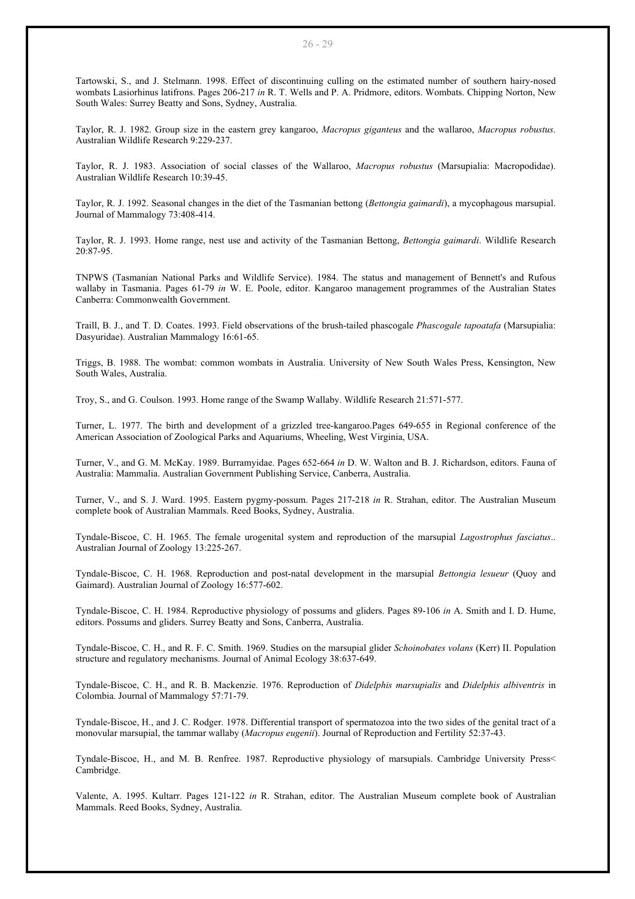Tartowski, S., and J. Stelmann. 1998. Effect of discontinuing culling on the estimated number of southern hairy-nosed wombats Lasiorhinus latifrons. Pages 206-217 *in* R. T. Wells and P. A. Pridmore, editors. Wombats. Chipping Norton, New South Wales: Surrey Beatty and Sons, Sydney, Australia.

Taylor, R. J. 1982. Group size in the eastern grey kangaroo, *Macropus giganteus* and the wallaroo, *Macropus robustus*. Australian Wildlife Research 9:229-237.

Taylor, R. J. 1983. Association of social classes of the Wallaroo, *Macropus robustus* (Marsupialia: Macropodidae). Australian Wildlife Research 10:39-45.

Taylor, R. J. 1992. Seasonal changes in the diet of the Tasmanian bettong (*Bettongia gaimardi*), a mycophagous marsupial. Journal of Mammalogy 73:408-414.

Taylor, R. J. 1993. Home range, nest use and activity of the Tasmanian Bettong, *Bettongia gaimardi*. Wildlife Research 20:87-95.

TNPWS (Tasmanian National Parks and Wildlife Service). 1984. The status and management of Bennett's and Rufous wallaby in Tasmania. Pages 61-79 *in* W. E. Poole, editor. Kangaroo management programmes of the Australian States Canberra: Commonwealth Government.

Traill, B. J., and T. D. Coates. 1993. Field observations of the brush-tailed phascogale *Phascogale tapoatafa* (Marsupialia: Dasyuridae). Australian Mammalogy 16:61-65.

Triggs, B. 1988. The wombat: common wombats in Australia. University of New South Wales Press, Kensington, New South Wales, Australia.

Troy, S., and G. Coulson. 1993. Home range of the Swamp Wallaby. Wildlife Research 21:571-577.

Turner, L. 1977. The birth and development of a grizzled tree-kangaroo.Pages 649-655 in Regional conference of the American Association of Zoological Parks and Aquariums, Wheeling, West Virginia, USA.

Turner, V., and G. M. McKay. 1989. Burramyidae. Pages 652-664 *in* D. W. Walton and B. J. Richardson, editors. Fauna of Australia: Mammalia. Australian Government Publishing Service, Canberra, Australia.

Turner, V., and S. J. Ward. 1995. Eastern pygmy-possum. Pages 217-218 *in* R. Strahan, editor. The Australian Museum complete book of Australian Mammals. Reed Books, Sydney, Australia.

Tyndale-Biscoe, C. H. 1965. The female urogenital system and reproduction of the marsupial *Lagostrophus fasciatus*.. Australian Journal of Zoology 13:225-267.

Tyndale-Biscoe, C. H. 1968. Reproduction and post-natal development in the marsupial *Bettongia lesueur* (Quoy and Gaimard). Australian Journal of Zoology 16:577-602.

Tyndale-Biscoe, C. H. 1984. Reproductive physiology of possums and gliders. Pages 89-106 *in* A. Smith and I. D. Hume, editors. Possums and gliders. Surrey Beatty and Sons, Canberra, Australia.

Tyndale-Biscoe, C. H., and R. F. C. Smith. 1969. Studies on the marsupial glider *Schoinobates volans* (Kerr) II. Population structure and regulatory mechanisms. Journal of Animal Ecology 38:637-649.

Tyndale-Biscoe, C. H., and R. B. Mackenzie. 1976. Reproduction of *Didelphis marsupialis* and *Didelphis albiventris* in Colombia. Journal of Mammalogy 57:71-79.

Tyndale-Biscoe, H., and J. C. Rodger. 1978. Differential transport of spermatozoa into the two sides of the genital tract of a monovular marsupial, the tammar wallaby (*Macropus eugenii*). Journal of Reproduction and Fertility 52:37-43.

Tyndale-Biscoe, H., and M. B. Renfree. 1987. Reproductive physiology of marsupials. Cambridge University Press< Cambridge.

Valente, A. 1995. Kultarr. Pages 121-122 *in* R. Strahan, editor. The Australian Museum complete book of Australian Mammals. Reed Books, Sydney, Australia.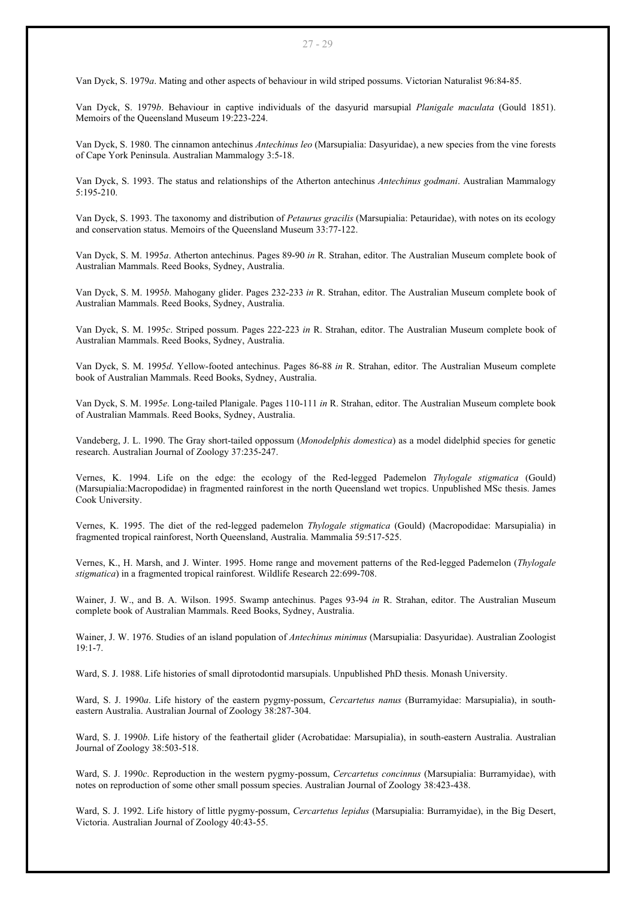Van Dyck, S. 1979*a*. Mating and other aspects of behaviour in wild striped possums. Victorian Naturalist 96:84-85.

Van Dyck, S. 1979*b*. Behaviour in captive individuals of the dasyurid marsupial *Planigale maculata* (Gould 1851). Memoirs of the Queensland Museum 19:223-224.

Van Dyck, S. 1980. The cinnamon antechinus *Antechinus leo* (Marsupialia: Dasyuridae), a new species from the vine forests of Cape York Peninsula. Australian Mammalogy 3:5-18.

Van Dyck, S. 1993. The status and relationships of the Atherton antechinus *Antechinus godmani*. Australian Mammalogy 5:195-210.

Van Dyck, S. 1993. The taxonomy and distribution of *Petaurus gracilis* (Marsupialia: Petauridae), with notes on its ecology and conservation status. Memoirs of the Queensland Museum 33:77-122.

Van Dyck, S. M. 1995*a*. Atherton antechinus. Pages 89-90 *in* R. Strahan, editor. The Australian Museum complete book of Australian Mammals. Reed Books, Sydney, Australia.

Van Dyck, S. M. 1995*b*. Mahogany glider. Pages 232-233 *in* R. Strahan, editor. The Australian Museum complete book of Australian Mammals. Reed Books, Sydney, Australia.

Van Dyck, S. M. 1995*c*. Striped possum. Pages 222-223 *in* R. Strahan, editor. The Australian Museum complete book of Australian Mammals. Reed Books, Sydney, Australia.

Van Dyck, S. M. 1995*d*. Yellow-footed antechinus. Pages 86-88 *in* R. Strahan, editor. The Australian Museum complete book of Australian Mammals. Reed Books, Sydney, Australia.

Van Dyck, S. M. 1995*e*. Long-tailed Planigale. Pages 110-111 *in* R. Strahan, editor. The Australian Museum complete book of Australian Mammals. Reed Books, Sydney, Australia.

Vandeberg, J. L. 1990. The Gray short-tailed oppossum (*Monodelphis domestica*) as a model didelphid species for genetic research. Australian Journal of Zoology 37:235-247.

Vernes, K. 1994. Life on the edge: the ecology of the Red-legged Pademelon *Thylogale stigmatica* (Gould) (Marsupialia:Macropodidae) in fragmented rainforest in the north Queensland wet tropics. Unpublished MSc thesis. James Cook University.

Vernes, K. 1995. The diet of the red-legged pademelon *Thylogale stigmatica* (Gould) (Macropodidae: Marsupialia) in fragmented tropical rainforest, North Queensland, Australia. Mammalia 59:517-525.

Vernes, K., H. Marsh, and J. Winter. 1995. Home range and movement patterns of the Red-legged Pademelon (*Thylogale stigmatica*) in a fragmented tropical rainforest. Wildlife Research 22:699-708.

Wainer, J. W., and B. A. Wilson. 1995. Swamp antechinus. Pages 93-94 *in* R. Strahan, editor. The Australian Museum complete book of Australian Mammals. Reed Books, Sydney, Australia.

Wainer, J. W. 1976. Studies of an island population of *Antechinus minimus* (Marsupialia: Dasyuridae). Australian Zoologist 19:1-7.

Ward, S. J. 1988. Life histories of small diprotodontid marsupials. Unpublished PhD thesis. Monash University.

Ward, S. J. 1990*a*. Life history of the eastern pygmy-possum, *Cercartetus nanus* (Burramyidae: Marsupialia), in southeastern Australia. Australian Journal of Zoology 38:287-304.

Ward, S. J. 1990*b*. Life history of the feathertail glider (Acrobatidae: Marsupialia), in south-eastern Australia. Australian Journal of Zoology 38:503-518.

Ward, S. J. 1990*c*. Reproduction in the western pygmy-possum, *Cercartetus concinnus* (Marsupialia: Burramyidae), with notes on reproduction of some other small possum species. Australian Journal of Zoology 38:423-438.

Ward, S. J. 1992. Life history of little pygmy-possum, *Cercartetus lepidus* (Marsupialia: Burramyidae), in the Big Desert, Victoria. Australian Journal of Zoology 40:43-55.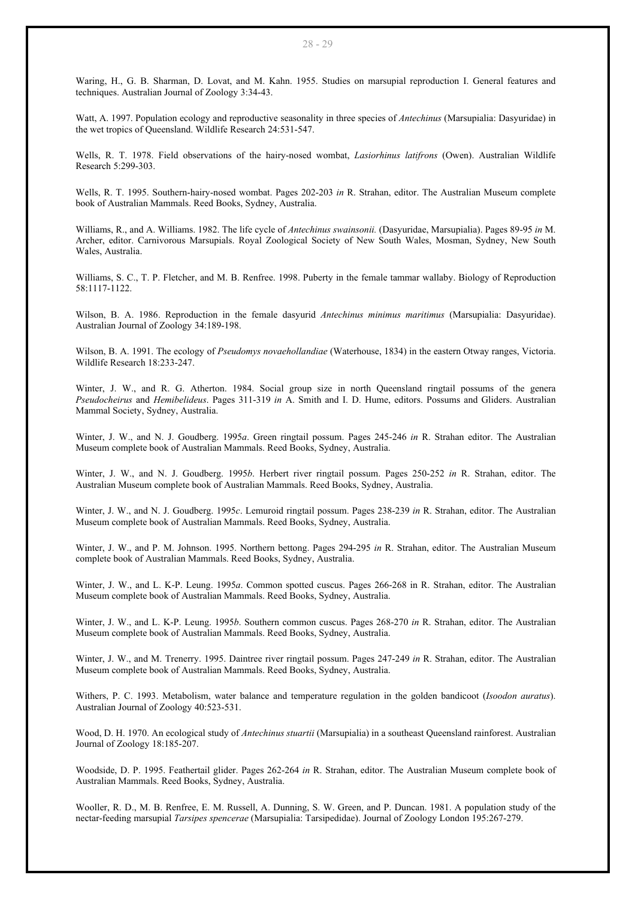Waring, H., G. B. Sharman, D. Lovat, and M. Kahn. 1955. Studies on marsupial reproduction I. General features and techniques. Australian Journal of Zoology 3:34-43.

Watt, A. 1997. Population ecology and reproductive seasonality in three species of *Antechinus* (Marsupialia: Dasyuridae) in the wet tropics of Queensland. Wildlife Research 24:531-547.

Wells, R. T. 1978. Field observations of the hairy-nosed wombat, *Lasiorhinus latifrons* (Owen). Australian Wildlife Research 5:299-303.

Wells, R. T. 1995. Southern-hairy-nosed wombat. Pages 202-203 *in* R. Strahan, editor. The Australian Museum complete book of Australian Mammals. Reed Books, Sydney, Australia.

Williams, R., and A. Williams. 1982. The life cycle of *Antechinus swainsonii.* (Dasyuridae, Marsupialia). Pages 89-95 *in* M. Archer, editor. Carnivorous Marsupials. Royal Zoological Society of New South Wales, Mosman, Sydney, New South Wales, Australia.

Williams, S. C., T. P. Fletcher, and M. B. Renfree. 1998. Puberty in the female tammar wallaby. Biology of Reproduction 58:1117-1122.

Wilson, B. A. 1986. Reproduction in the female dasyurid *Antechinus minimus maritimus* (Marsupialia: Dasyuridae). Australian Journal of Zoology 34:189-198.

Wilson, B. A. 1991. The ecology of *Pseudomys novaehollandiae* (Waterhouse, 1834) in the eastern Otway ranges, Victoria. Wildlife Research 18:233-247.

Winter, J. W., and R. G. Atherton. 1984. Social group size in north Queensland ringtail possums of the genera *Pseudocheirus* and *Hemibelideus*. Pages 311-319 *in* A. Smith and I. D. Hume, editors. Possums and Gliders. Australian Mammal Society, Sydney, Australia.

Winter, J. W., and N. J. Goudberg. 1995*a*. Green ringtail possum. Pages 245-246 *in* R. Strahan editor. The Australian Museum complete book of Australian Mammals. Reed Books, Sydney, Australia.

Winter, J. W., and N. J. Goudberg. 1995*b*. Herbert river ringtail possum. Pages 250-252 *in* R. Strahan, editor. The Australian Museum complete book of Australian Mammals. Reed Books, Sydney, Australia.

Winter, J. W., and N. J. Goudberg. 1995*c*. Lemuroid ringtail possum. Pages 238-239 *in* R. Strahan, editor. The Australian Museum complete book of Australian Mammals. Reed Books, Sydney, Australia.

Winter, J. W., and P. M. Johnson. 1995. Northern bettong. Pages 294-295 *in* R. Strahan, editor. The Australian Museum complete book of Australian Mammals. Reed Books, Sydney, Australia.

Winter, J. W., and L. K-P. Leung. 1995*a*. Common spotted cuscus. Pages 266-268 in R. Strahan, editor. The Australian Museum complete book of Australian Mammals. Reed Books, Sydney, Australia.

Winter, J. W., and L. K-P. Leung. 1995*b*. Southern common cuscus. Pages 268-270 *in* R. Strahan, editor. The Australian Museum complete book of Australian Mammals. Reed Books, Sydney, Australia.

Winter, J. W., and M. Trenerry. 1995. Daintree river ringtail possum. Pages 247-249 *in* R. Strahan, editor. The Australian Museum complete book of Australian Mammals. Reed Books, Sydney, Australia.

Withers, P. C. 1993. Metabolism, water balance and temperature regulation in the golden bandicoot (*Isoodon auratus*). Australian Journal of Zoology 40:523-531.

Wood, D. H. 1970. An ecological study of *Antechinus stuartii* (Marsupialia) in a southeast Queensland rainforest. Australian Journal of Zoology 18:185-207.

Woodside, D. P. 1995. Feathertail glider. Pages 262-264 *in* R. Strahan, editor. The Australian Museum complete book of Australian Mammals. Reed Books, Sydney, Australia.

Wooller, R. D., M. B. Renfree, E. M. Russell, A. Dunning, S. W. Green, and P. Duncan. 1981. A population study of the nectar-feeding marsupial *Tarsipes spencerae* (Marsupialia: Tarsipedidae). Journal of Zoology London 195:267-279.